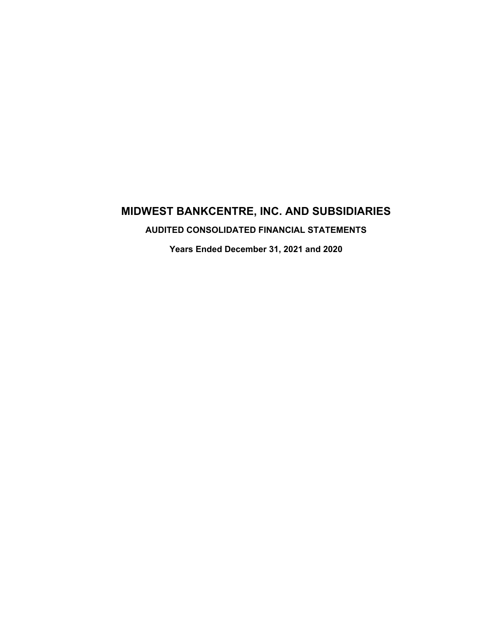# **AUDITED CONSOLIDATED FINANCIAL STATEMENTS**

**Years Ended December 31, 2021 and 2020**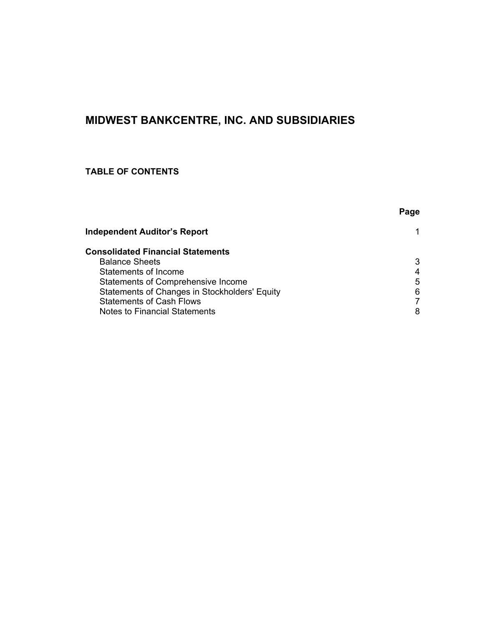# **TABLE OF CONTENTS**

| <b>Independent Auditor's Report</b>           |   |
|-----------------------------------------------|---|
| Consolidated Financial Statements             |   |
| <b>Balance Sheets</b>                         | 3 |
| Statements of Income                          | 4 |
| Statements of Comprehensive Income            | 5 |
| Statements of Changes in Stockholders' Equity | 6 |
| <b>Statements of Cash Flows</b>               |   |
| Notes to Financial Statements                 | 8 |

**Page**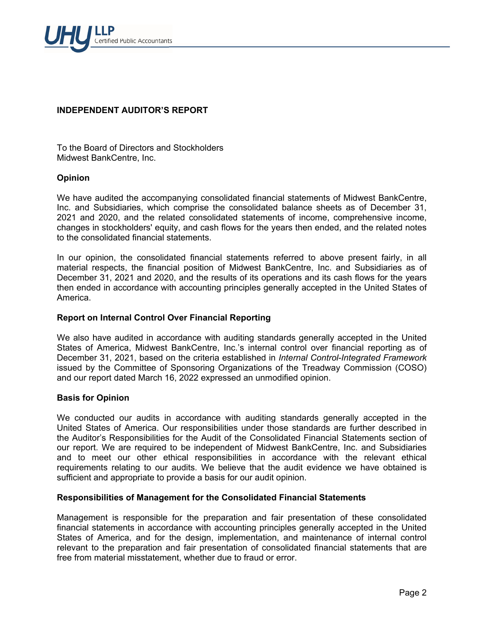

## **INDEPENDENT AUDITOR'S REPORT**

To the Board of Directors and Stockholders Midwest BankCentre, Inc.

#### **Opinion**

We have audited the accompanying consolidated financial statements of Midwest BankCentre, Inc. and Subsidiaries, which comprise the consolidated balance sheets as of December 31, 2021 and 2020, and the related consolidated statements of income, comprehensive income, changes in stockholders' equity, and cash flows for the years then ended, and the related notes to the consolidated financial statements.

In our opinion, the consolidated financial statements referred to above present fairly, in all material respects, the financial position of Midwest BankCentre, Inc. and Subsidiaries as of December 31, 2021 and 2020, and the results of its operations and its cash flows for the years then ended in accordance with accounting principles generally accepted in the United States of America.

#### **Report on Internal Control Over Financial Reporting**

We also have audited in accordance with auditing standards generally accepted in the United States of America, Midwest BankCentre, Inc.'s internal control over financial reporting as of December 31, 2021, based on the criteria established in *Internal Control-Integrated Framework* issued by the Committee of Sponsoring Organizations of the Treadway Commission (COSO) and our report dated March 16, 2022 expressed an unmodified opinion.

#### **Basis for Opinion**

We conducted our audits in accordance with auditing standards generally accepted in the United States of America. Our responsibilities under those standards are further described in the Auditor's Responsibilities for the Audit of the Consolidated Financial Statements section of our report. We are required to be independent of Midwest BankCentre, Inc. and Subsidiaries and to meet our other ethical responsibilities in accordance with the relevant ethical requirements relating to our audits. We believe that the audit evidence we have obtained is sufficient and appropriate to provide a basis for our audit opinion.

#### **Responsibilities of Management for the Consolidated Financial Statements**

Management is responsible for the preparation and fair presentation of these consolidated financial statements in accordance with accounting principles generally accepted in the United States of America, and for the design, implementation, and maintenance of internal control relevant to the preparation and fair presentation of consolidated financial statements that are free from material misstatement, whether due to fraud or error.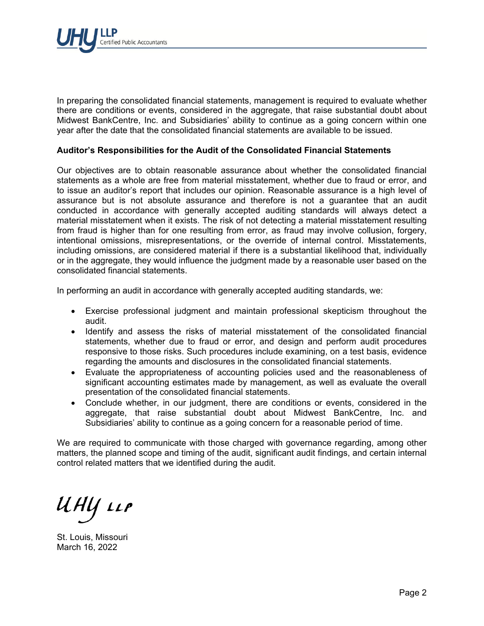

In preparing the consolidated financial statements, management is required to evaluate whether there are conditions or events, considered in the aggregate, that raise substantial doubt about Midwest BankCentre, Inc. and Subsidiaries' ability to continue as a going concern within one year after the date that the consolidated financial statements are available to be issued.

#### **Auditor's Responsibilities for the Audit of the Consolidated Financial Statements**

Our objectives are to obtain reasonable assurance about whether the consolidated financial statements as a whole are free from material misstatement, whether due to fraud or error, and to issue an auditor's report that includes our opinion. Reasonable assurance is a high level of assurance but is not absolute assurance and therefore is not a guarantee that an audit conducted in accordance with generally accepted auditing standards will always detect a material misstatement when it exists. The risk of not detecting a material misstatement resulting from fraud is higher than for one resulting from error, as fraud may involve collusion, forgery, intentional omissions, misrepresentations, or the override of internal control. Misstatements, including omissions, are considered material if there is a substantial likelihood that, individually or in the aggregate, they would influence the judgment made by a reasonable user based on the consolidated financial statements.

In performing an audit in accordance with generally accepted auditing standards, we:

- Exercise professional judgment and maintain professional skepticism throughout the audit.
- Identify and assess the risks of material misstatement of the consolidated financial statements, whether due to fraud or error, and design and perform audit procedures responsive to those risks. Such procedures include examining, on a test basis, evidence regarding the amounts and disclosures in the consolidated financial statements.
- Evaluate the appropriateness of accounting policies used and the reasonableness of significant accounting estimates made by management, as well as evaluate the overall presentation of the consolidated financial statements.
- Conclude whether, in our judgment, there are conditions or events, considered in the aggregate, that raise substantial doubt about Midwest BankCentre, Inc. and Subsidiaries' ability to continue as a going concern for a reasonable period of time.

We are required to communicate with those charged with governance regarding, among other matters, the planned scope and timing of the audit, significant audit findings, and certain internal control related matters that we identified during the audit.

UHY LLP

St. Louis, Missouri March 16, 2022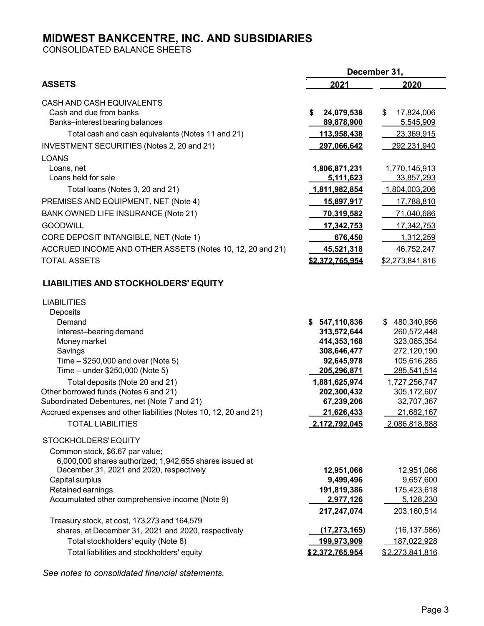CONSOLIDATED BALANCE SHEETS

|                                                                                            | December 31,       |                  |  |
|--------------------------------------------------------------------------------------------|--------------------|------------------|--|
| <b>ASSETS</b>                                                                              | 2021               | 2020             |  |
|                                                                                            |                    |                  |  |
| CASH AND CASH EQUIVALENTS<br>Cash and due from banks                                       | \$<br>24,079,538   | 17,824,006<br>\$ |  |
| Banks-interest bearing balances                                                            | 89,878,900         | 5,545,909        |  |
|                                                                                            |                    |                  |  |
| Total cash and cash equivalents (Notes 11 and 21)                                          | 113,958,438        | 23,369,915       |  |
| INVESTMENT SECURITIES (Notes 2, 20 and 21)                                                 | 297,066,642        | 292,231,940      |  |
| <b>LOANS</b>                                                                               |                    |                  |  |
| Loans, net                                                                                 | 1,806,871,231      | 1,770,145,913    |  |
| Loans held for sale                                                                        | 5,111,623          | 33,857,293       |  |
| Total loans (Notes 3, 20 and 21)                                                           | 1,811,982,854      | 1,804,003,206    |  |
| PREMISES AND EQUIPMENT, NET (Note 4)                                                       | 15,897,917         | 17,788,810       |  |
| BANK OWNED LIFE INSURANCE (Note 21)                                                        | 70,319,582         | 71,040,686       |  |
| <b>GOODWILL</b>                                                                            | 17,342,753         | 17,342,753       |  |
| CORE DEPOSIT INTANGIBLE, NET (Note 1)                                                      | 676,450            | 1,312,259        |  |
| ACCRUED INCOME AND OTHER ASSETS (Notes 10, 12, 20 and 21)                                  | 45,521,318         | 46,752,247       |  |
| <b>TOTAL ASSETS</b>                                                                        | \$2,372,765,954    | \$2,273,841,816  |  |
|                                                                                            |                    |                  |  |
| <b>LIABILITIES AND STOCKHOLDERS' EQUITY</b>                                                |                    |                  |  |
| <b>LIABILITIES</b>                                                                         |                    |                  |  |
| Deposits                                                                                   |                    |                  |  |
| Demand                                                                                     | \$547,110,836      | \$480,340,956    |  |
| Interest-bearing demand                                                                    | 313,572,644        | 260,572,448      |  |
| Money market                                                                               | 414,353,168        | 323,065,354      |  |
| Savings                                                                                    | 308,646,477        | 272,120,190      |  |
| Time - \$250,000 and over (Note 5)                                                         | 92,645,978         | 105,616,285      |  |
| Time - under \$250,000 (Note 5)                                                            | 205,296,871        | 285,541,514      |  |
| Total deposits (Note 20 and 21)                                                            | 1,881,625,974      | 1,727,256,747    |  |
| Other borrowed funds (Notes 6 and 21)                                                      | 202,300,432        | 305,172,607      |  |
| Subordinated Debentures, net (Note 7 and 21)                                               | 67,239,206         | 32,707,367       |  |
| Accrued expenses and other liabilities (Notes 10, 12, 20 and 21)                           | 21,626,433         | 21,682,167       |  |
| <b>TOTAL LIABILITIES</b>                                                                   | 2,172,792,045      | 2,086,818,888    |  |
| STOCKHOLDERS' EQUITY                                                                       |                    |                  |  |
| Common stock, \$6.67 par value;<br>6,000,000 shares authorized; 1,942,655 shares issued at |                    |                  |  |
| December 31, 2021 and 2020, respectively                                                   | 12,951,066         | 12,951,066       |  |
| Capital surplus                                                                            | 9,499,496          | 9,657,600        |  |
| Retained earnings                                                                          | 191,819,386        | 175,423,618      |  |
| Accumulated other comprehensive income (Note 9)                                            | 2,977,126          | 5,128,230        |  |
|                                                                                            | 217,247,074        | 203,160,514      |  |
| Treasury stock, at cost, 173,273 and 164,579                                               |                    |                  |  |
| shares, at December 31, 2021 and 2020, respectively                                        | (17, 273, 165)     | (16, 137, 586)   |  |
| Total stockholders' equity (Note 8)                                                        | <u>199,973,909</u> | 187,022,928      |  |
| Total liabilities and stockholders' equity                                                 | \$2,372,765,954    | \$2,273,841,816  |  |
|                                                                                            |                    |                  |  |

*See notes to consolidated financial statements.*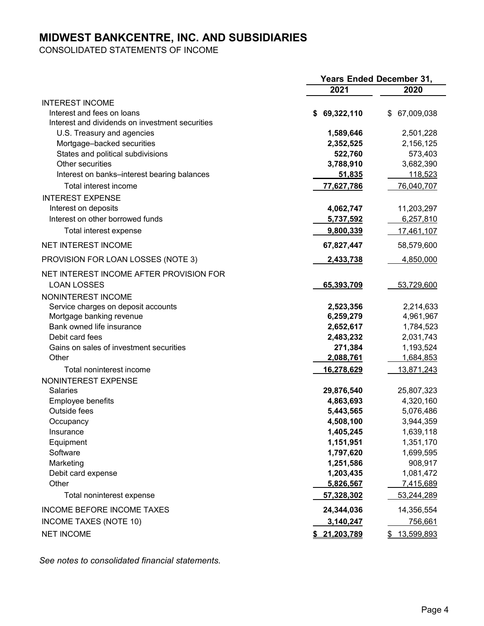CONSOLIDATED STATEMENTS OF INCOME

|                                                                 | <b>Years Ended December 31,</b> |                      |  |
|-----------------------------------------------------------------|---------------------------------|----------------------|--|
|                                                                 | 2021                            | 2020                 |  |
| <b>INTEREST INCOME</b><br>Interest and fees on loans            | 69,322,110<br>\$                | 67,009,038<br>\$     |  |
| Interest and dividends on investment securities                 |                                 |                      |  |
| U.S. Treasury and agencies                                      | 1,589,646                       | 2,501,228            |  |
| Mortgage-backed securities<br>States and political subdivisions | 2,352,525<br>522,760            | 2,156,125<br>573,403 |  |
| Other securities                                                | 3,788,910                       | 3,682,390            |  |
| Interest on banks-interest bearing balances                     | 51,835                          | 118,523              |  |
| Total interest income                                           |                                 |                      |  |
|                                                                 | 77,627,786                      | 76,040,707           |  |
| <b>INTEREST EXPENSE</b>                                         |                                 |                      |  |
| Interest on deposits                                            | 4,062,747                       | 11,203,297           |  |
| Interest on other borrowed funds                                | 5,737,592                       | 6,257,810            |  |
| Total interest expense                                          | 9,800,339                       | 17,461,107           |  |
| NET INTEREST INCOME                                             | 67,827,447                      | 58,579,600           |  |
| PROVISION FOR LOAN LOSSES (NOTE 3)                              | 2,433,738                       | 4,850,000            |  |
| NET INTEREST INCOME AFTER PROVISION FOR                         |                                 |                      |  |
| <b>LOAN LOSSES</b>                                              | 65,393,709                      | 53,729,600           |  |
| NONINTEREST INCOME                                              |                                 |                      |  |
| Service charges on deposit accounts                             | 2,523,356                       | 2,214,633            |  |
| Mortgage banking revenue                                        | 6,259,279                       | 4,961,967            |  |
| Bank owned life insurance                                       | 2,652,617                       | 1,784,523            |  |
| Debit card fees                                                 | 2,483,232                       | 2,031,743            |  |
| Gains on sales of investment securities                         | 271,384                         | 1,193,524            |  |
| Other                                                           | 2,088,761                       | 1,684,853            |  |
| Total noninterest income                                        | 16,278,629                      | 13,871,243           |  |
| NONINTEREST EXPENSE                                             |                                 |                      |  |
| <b>Salaries</b>                                                 | 29,876,540                      | 25,807,323           |  |
| Employee benefits                                               | 4,863,693                       | 4,320,160            |  |
| Outside fees                                                    | 5,443,565                       | 5,076,486            |  |
| Occupancy                                                       | 4,508,100                       | 3,944,359            |  |
| Insurance                                                       | 1,405,245                       | 1,639,118            |  |
| Equipment                                                       | 1,151,951                       | 1,351,170            |  |
| Software                                                        | 1,797,620                       | 1,699,595            |  |
| Marketing                                                       | 1,251,586                       | 908,917              |  |
| Debit card expense                                              | 1,203,435                       | 1,081,472            |  |
| Other                                                           | 5,826,567                       | <u>7,415,689</u>     |  |
| Total noninterest expense                                       | 57,328,302                      | 53,244,289           |  |
| INCOME BEFORE INCOME TAXES                                      | 24,344,036                      | 14,356,554           |  |
| <b>INCOME TAXES (NOTE 10)</b>                                   | 3,140,247                       | <u>756,661</u>       |  |
| <b>NET INCOME</b>                                               | \$21,203,789                    | \$13,599,893         |  |

*See notes to consolidated financial statements.*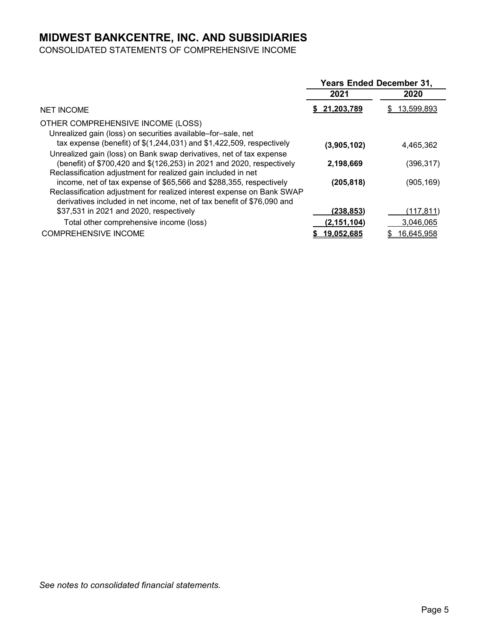CONSOLIDATED STATEMENTS OF COMPREHENSIVE INCOME

|                                                                         | <b>Years Ended December 31,</b> |                  |  |
|-------------------------------------------------------------------------|---------------------------------|------------------|--|
|                                                                         | 2021                            | 2020             |  |
| <b>NET INCOME</b>                                                       | \$21,203,789                    | 13,599,893<br>S. |  |
| OTHER COMPREHENSIVE INCOME (LOSS)                                       |                                 |                  |  |
| Unrealized gain (loss) on securities available-for-sale, net            |                                 |                  |  |
| tax expense (benefit) of $$(1,244,031)$ and $$1,422,509$ , respectively | (3,905,102)                     | 4,465,362        |  |
| Unrealized gain (loss) on Bank swap derivatives, net of tax expense     |                                 |                  |  |
| (benefit) of \$700,420 and \$(126,253) in 2021 and 2020, respectively   | 2,198,669                       | (396, 317)       |  |
| Reclassification adjustment for realized gain included in net           |                                 |                  |  |
| income, net of tax expense of \$65,566 and \$288,355, respectively      | (205, 818)                      | (905,169)        |  |
| Reclassification adjustment for realized interest expense on Bank SWAP  |                                 |                  |  |
| derivatives included in net income, net of tax benefit of \$76,090 and  |                                 |                  |  |
| \$37,531 in 2021 and 2020, respectively                                 | (238, 853)                      | (117,811)        |  |
| Total other comprehensive income (loss)                                 | (2, 151, 104)                   | 3,046,065        |  |
| <b>COMPREHENSIVE INCOME</b>                                             | <u>19.052.685</u>               | 16,645,958       |  |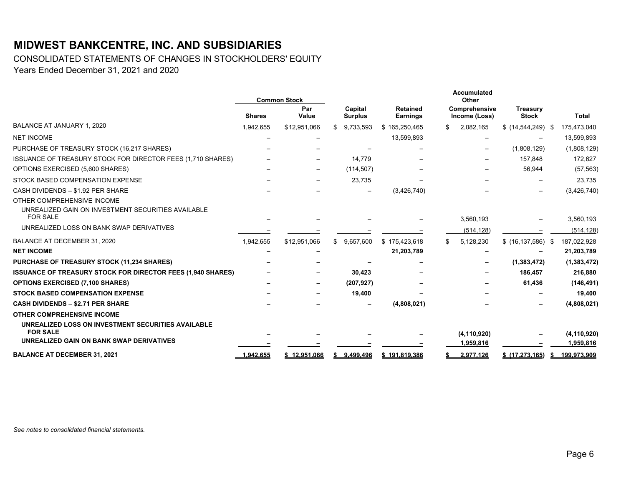CONSOLIDATED STATEMENTS OF CHANGES IN STOCKHOLDERS' EQUITY

Years Ended December 31, 2021 and 2020

|                                                                                                     | <b>Common Stock</b> |                   |                           |            |                                    | Accumulated<br>Other           |                                 |    |               |
|-----------------------------------------------------------------------------------------------------|---------------------|-------------------|---------------------------|------------|------------------------------------|--------------------------------|---------------------------------|----|---------------|
|                                                                                                     | <b>Shares</b>       | Par<br>Value      | Capital<br><b>Surplus</b> |            | <b>Retained</b><br><b>Earnings</b> | Comprehensive<br>Income (Loss) | <b>Treasury</b><br><b>Stock</b> |    | <b>Total</b>  |
| BALANCE AT JANUARY 1, 2020                                                                          | 1,942,655           | \$12,951,066      | \$                        | 9,733,593  | \$165,250,465                      | \$<br>2,082,165                | $$$ (14,544,249) \$             |    | 175,473,040   |
| <b>NET INCOME</b>                                                                                   |                     |                   |                           |            | 13,599,893                         |                                |                                 |    | 13,599,893    |
| PURCHASE OF TREASURY STOCK (16,217 SHARES)                                                          |                     |                   |                           |            |                                    |                                | (1,808,129)                     |    | (1,808,129)   |
| <b>ISSUANCE OF TREASURY STOCK FOR DIRECTOR FEES (1,710 SHARES)</b>                                  |                     |                   |                           | 14.779     |                                    |                                | 157,848                         |    | 172,627       |
| OPTIONS EXERCISED (5,600 SHARES)                                                                    |                     | $\qquad \qquad -$ |                           | (114, 507) |                                    |                                | 56,944                          |    | (57, 563)     |
| STOCK BASED COMPENSATION EXPENSE                                                                    |                     |                   |                           | 23,735     |                                    |                                |                                 |    | 23,735        |
| CASH DIVIDENDS - \$1.92 PER SHARE                                                                   |                     |                   |                           |            | (3,426,740)                        |                                |                                 |    | (3,426,740)   |
| OTHER COMPREHENSIVE INCOME<br>UNREALIZED GAIN ON INVESTMENT SECURITIES AVAILABLE<br><b>FOR SALE</b> |                     |                   |                           |            |                                    | 3,560,193                      |                                 |    | 3,560,193     |
| UNREALIZED LOSS ON BANK SWAP DERIVATIVES                                                            |                     |                   |                           |            |                                    | (514.128)                      |                                 |    | (514, 128)    |
| BALANCE AT DECEMBER 31, 2020                                                                        | 1,942,655           | \$12,951,066      | \$9,657,600               |            | \$175,423,618                      | \$<br>5,128,230                | $$$ (16,137,586) \$             |    | 187,022,928   |
| <b>NET INCOME</b>                                                                                   |                     |                   |                           |            | 21,203,789                         |                                |                                 |    | 21,203,789    |
| <b>PURCHASE OF TREASURY STOCK (11,234 SHARES)</b>                                                   |                     |                   |                           |            |                                    |                                | (1,383,472)                     |    | (1,383,472)   |
| <b>ISSUANCE OF TREASURY STOCK FOR DIRECTOR FEES (1,940 SHARES)</b>                                  |                     |                   |                           | 30,423     |                                    |                                | 186,457                         |    | 216,880       |
| <b>OPTIONS EXERCISED (7,100 SHARES)</b>                                                             |                     |                   |                           | (207, 927) |                                    |                                | 61,436                          |    | (146, 491)    |
| <b>STOCK BASED COMPENSATION EXPENSE</b>                                                             |                     |                   |                           | 19,400     |                                    |                                |                                 |    | 19,400        |
| <b>CASH DIVIDENDS - \$2.71 PER SHARE</b>                                                            |                     |                   |                           |            | (4,808,021)                        |                                |                                 |    | (4,808,021)   |
| <b>OTHER COMPREHENSIVE INCOME</b>                                                                   |                     |                   |                           |            |                                    |                                |                                 |    |               |
| UNREALIZED LOSS ON INVESTMENT SECURITIES AVAILABLE<br><b>FOR SALE</b>                               |                     |                   |                           |            |                                    | (4, 110, 920)                  |                                 |    | (4, 110, 920) |
| UNREALIZED GAIN ON BANK SWAP DERIVATIVES                                                            |                     |                   |                           |            |                                    | 1,959,816                      |                                 |    | 1,959,816     |
| <b>BALANCE AT DECEMBER 31, 2021</b>                                                                 | 1,942,655           | \$12,951,066      | \$9,499,496               |            | \$191,819,386                      | 2,977,126                      | \$(17, 273, 165)                | s. | 199.973.909   |

*See notes to consolidated financial statements.*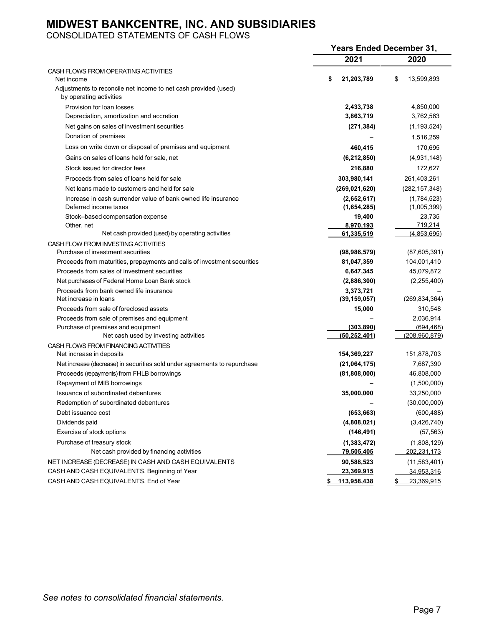CONSOLIDATED STATEMENTS OF CASH FLOWS

|                                                                                            | <b>Years Ended December 31,</b> |                  |  |
|--------------------------------------------------------------------------------------------|---------------------------------|------------------|--|
|                                                                                            | 2021                            | 2020             |  |
| CASH FLOWS FROM OPERATING ACTIVITIES                                                       |                                 |                  |  |
| Net income                                                                                 | \$<br>21,203,789                | \$<br>13,599,893 |  |
| Adjustments to reconcile net income to net cash provided (used)<br>by operating activities |                                 |                  |  |
| Provision for loan losses                                                                  | 2,433,738                       | 4,850,000        |  |
| Depreciation, amortization and accretion                                                   | 3,863,719                       | 3,762,563        |  |
| Net gains on sales of investment securities                                                | (271, 384)                      | (1, 193, 524)    |  |
| Donation of premises                                                                       |                                 | 1,516,259        |  |
| Loss on write down or disposal of premises and equipment                                   | 460,415                         | 170,695          |  |
| Gains on sales of loans held for sale, net                                                 | (6, 212, 850)                   | (4,931,148)      |  |
| Stock issued for director fees                                                             | 216,880                         | 172,627          |  |
| Proceeds from sales of loans held for sale                                                 | 303,980,141                     | 261,403,261      |  |
| Net loans made to customers and held for sale                                              | (269, 021, 620)                 | (282, 157, 348)  |  |
| Increase in cash surrender value of bank owned life insurance                              | (2,652,617)                     | (1,784,523)      |  |
| Deferred income taxes                                                                      | (1,654,285)                     | (1,005,399)      |  |
| Stock-based compensation expense                                                           | 19,400                          | 23,735           |  |
| Other, net                                                                                 | 8,970,193                       | 719,214          |  |
| Net cash provided (used) by operating activities                                           | 61,335,519                      | (4,853,695)      |  |
| CASH FLOW FROM INVESTING ACTIVITIES                                                        |                                 |                  |  |
| Purchase of investment securities                                                          | (98, 986, 579)                  | (87,605,391)     |  |
| Proceeds from maturities, prepayments and calls of investment securities                   | 81,047,359                      | 104,001,410      |  |
| Proceeds from sales of investment securities                                               | 6,647,345                       | 45,079,872       |  |
| Net purchases of Federal Home Loan Bank stock                                              | (2,886,300)                     | (2, 255, 400)    |  |
| Proceeds from bank owned life insurance<br>Net increase in loans                           | 3,373,721<br>(39, 159, 057)     | (269, 834, 364)  |  |
| Proceeds from sale of foreclosed assets                                                    | 15,000                          | 310,548          |  |
| Proceeds from sale of premises and equipment                                               |                                 | 2,036,914        |  |
| Purchase of premises and equipment                                                         | (303, 890)                      | (694, 468)       |  |
| Net cash used by investing activities                                                      | (50, 252, 401)                  | (208, 960, 879)  |  |
| CASH FLOWS FROM FINANCING ACTIVITIES                                                       |                                 |                  |  |
| Net increase in deposits                                                                   | 154,369,227                     | 151,878,703      |  |
| Net increase (decrease) in securities sold under agreements to repurchase                  | (21,064,175)                    | 7,687,390        |  |
| Proceeds (repayments) from FHLB borrowings                                                 | (81,808,000)                    | 46,808,000       |  |
| Repayment of MIB borrowings                                                                |                                 | (1,500,000)      |  |
| Issuance of subordinated debentures                                                        | 35,000,000                      | 33,250,000       |  |
| Redemption of subordinated debentures                                                      |                                 | (30,000,000)     |  |
| Debt issuance cost                                                                         | (653, 663)                      | (600, 488)       |  |
| Dividends paid                                                                             | (4,808,021)                     | (3,426,740)      |  |
| Exercise of stock options                                                                  | (146, 491)                      | (57, 563)        |  |
| Purchase of treasury stock                                                                 | (1, 383, 472)                   | (1,808,129)      |  |
| Net cash provided by financing activities                                                  | 79,505,405                      | 202,231,173      |  |
| NET INCREASE (DECREASE) IN CASH AND CASH EQUIVALENTS                                       | 90,588,523                      | (11,583,401)     |  |
| CASH AND CASH EQUIVALENTS, Beginning of Year                                               | 23,369,915                      | 34,953,316       |  |
| CASH AND CASH EQUIVALENTS, End of Year                                                     | \$113,958,438                   | \$<br>23,369,915 |  |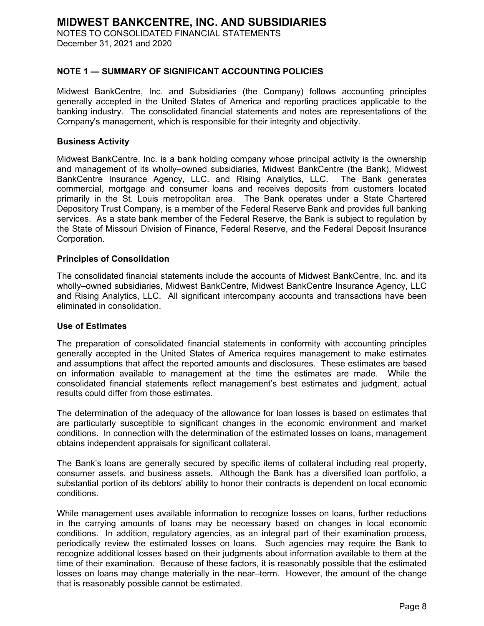NOTES TO CONSOLIDATED FINANCIAL STATEMENTS December 31, 2021 and 2020

### **NOTE 1 — SUMMARY OF SIGNIFICANT ACCOUNTING POLICIES**

Midwest BankCentre, Inc. and Subsidiaries (the Company) follows accounting principles generally accepted in the United States of America and reporting practices applicable to the banking industry. The consolidated financial statements and notes are representations of the Company's management, which is responsible for their integrity and objectivity.

### **Business Activity**

Midwest BankCentre, Inc. is a bank holding company whose principal activity is the ownership and management of its wholly–owned subsidiaries, Midwest BankCentre (the Bank), Midwest BankCentre Insurance Agency, LLC. and Rising Analytics, LLC. The Bank generates commercial, mortgage and consumer loans and receives deposits from customers located primarily in the St. Louis metropolitan area. The Bank operates under a State Chartered Depository Trust Company, is a member of the Federal Reserve Bank and provides full banking services. As a state bank member of the Federal Reserve, the Bank is subject to regulation by the State of Missouri Division of Finance, Federal Reserve, and the Federal Deposit Insurance Corporation.

### **Principles of Consolidation**

The consolidated financial statements include the accounts of Midwest BankCentre, Inc. and its wholly–owned subsidiaries, Midwest BankCentre, Midwest BankCentre Insurance Agency, LLC and Rising Analytics, LLC. All significant intercompany accounts and transactions have been eliminated in consolidation.

#### **Use of Estimates**

The preparation of consolidated financial statements in conformity with accounting principles generally accepted in the United States of America requires management to make estimates and assumptions that affect the reported amounts and disclosures. These estimates are based on information available to management at the time the estimates are made. While the consolidated financial statements reflect management's best estimates and judgment, actual results could differ from those estimates.

The determination of the adequacy of the allowance for loan losses is based on estimates that are particularly susceptible to significant changes in the economic environment and market conditions. In connection with the determination of the estimated losses on loans, management obtains independent appraisals for significant collateral.

The Bank's loans are generally secured by specific items of collateral including real property, consumer assets, and business assets. Although the Bank has a diversified loan portfolio, a substantial portion of its debtors' ability to honor their contracts is dependent on local economic conditions.

While management uses available information to recognize losses on loans, further reductions in the carrying amounts of loans may be necessary based on changes in local economic conditions. In addition, regulatory agencies, as an integral part of their examination process, periodically review the estimated losses on loans. Such agencies may require the Bank to recognize additional losses based on their judgments about information available to them at the time of their examination. Because of these factors, it is reasonably possible that the estimated losses on loans may change materially in the near–term. However, the amount of the change that is reasonably possible cannot be estimated.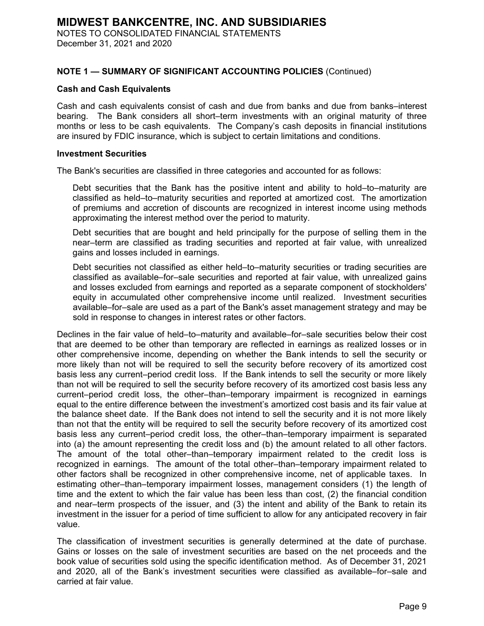NOTES TO CONSOLIDATED FINANCIAL STATEMENTS December 31, 2021 and 2020

### **NOTE 1 — SUMMARY OF SIGNIFICANT ACCOUNTING POLICIES** (Continued)

#### **Cash and Cash Equivalents**

Cash and cash equivalents consist of cash and due from banks and due from banks–interest bearing. The Bank considers all short–term investments with an original maturity of three months or less to be cash equivalents. The Company's cash deposits in financial institutions are insured by FDIC insurance, which is subject to certain limitations and conditions.

#### **Investment Securities**

The Bank's securities are classified in three categories and accounted for as follows:

Debt securities that the Bank has the positive intent and ability to hold–to–maturity are classified as held–to–maturity securities and reported at amortized cost. The amortization of premiums and accretion of discounts are recognized in interest income using methods approximating the interest method over the period to maturity.

Debt securities that are bought and held principally for the purpose of selling them in the near–term are classified as trading securities and reported at fair value, with unrealized gains and losses included in earnings.

Debt securities not classified as either held–to–maturity securities or trading securities are classified as available–for–sale securities and reported at fair value, with unrealized gains and losses excluded from earnings and reported as a separate component of stockholders' equity in accumulated other comprehensive income until realized. Investment securities available–for–sale are used as a part of the Bank's asset management strategy and may be sold in response to changes in interest rates or other factors.

Declines in the fair value of held–to–maturity and available–for–sale securities below their cost that are deemed to be other than temporary are reflected in earnings as realized losses or in other comprehensive income, depending on whether the Bank intends to sell the security or more likely than not will be required to sell the security before recovery of its amortized cost basis less any current–period credit loss. If the Bank intends to sell the security or more likely than not will be required to sell the security before recovery of its amortized cost basis less any current–period credit loss, the other–than–temporary impairment is recognized in earnings equal to the entire difference between the investment's amortized cost basis and its fair value at the balance sheet date. If the Bank does not intend to sell the security and it is not more likely than not that the entity will be required to sell the security before recovery of its amortized cost basis less any current–period credit loss, the other–than–temporary impairment is separated into (a) the amount representing the credit loss and (b) the amount related to all other factors. The amount of the total other–than–temporary impairment related to the credit loss is recognized in earnings. The amount of the total other–than–temporary impairment related to other factors shall be recognized in other comprehensive income, net of applicable taxes. In estimating other–than–temporary impairment losses, management considers (1) the length of time and the extent to which the fair value has been less than cost, (2) the financial condition and near–term prospects of the issuer, and (3) the intent and ability of the Bank to retain its investment in the issuer for a period of time sufficient to allow for any anticipated recovery in fair value.

The classification of investment securities is generally determined at the date of purchase. Gains or losses on the sale of investment securities are based on the net proceeds and the book value of securities sold using the specific identification method. As of December 31, 2021 and 2020, all of the Bank's investment securities were classified as available–for–sale and carried at fair value.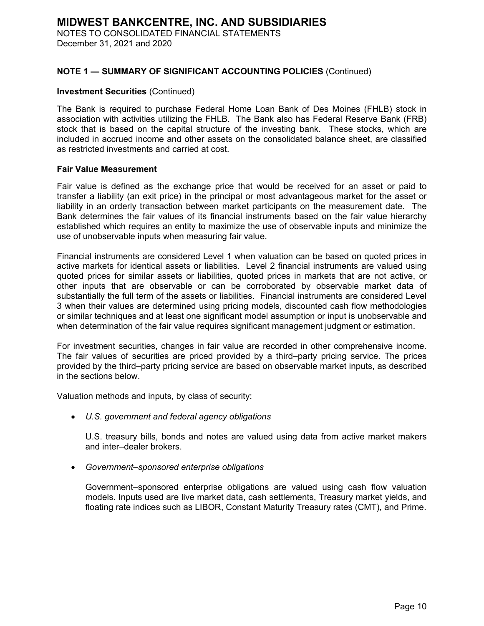NOTES TO CONSOLIDATED FINANCIAL STATEMENTS December 31, 2021 and 2020

### **NOTE 1 — SUMMARY OF SIGNIFICANT ACCOUNTING POLICIES** (Continued)

### **Investment Securities** (Continued)

The Bank is required to purchase Federal Home Loan Bank of Des Moines (FHLB) stock in association with activities utilizing the FHLB. The Bank also has Federal Reserve Bank (FRB) stock that is based on the capital structure of the investing bank. These stocks, which are included in accrued income and other assets on the consolidated balance sheet, are classified as restricted investments and carried at cost.

#### **Fair Value Measurement**

Fair value is defined as the exchange price that would be received for an asset or paid to transfer a liability (an exit price) in the principal or most advantageous market for the asset or liability in an orderly transaction between market participants on the measurement date. The Bank determines the fair values of its financial instruments based on the fair value hierarchy established which requires an entity to maximize the use of observable inputs and minimize the use of unobservable inputs when measuring fair value.

Financial instruments are considered Level 1 when valuation can be based on quoted prices in active markets for identical assets or liabilities. Level 2 financial instruments are valued using quoted prices for similar assets or liabilities, quoted prices in markets that are not active, or other inputs that are observable or can be corroborated by observable market data of substantially the full term of the assets or liabilities. Financial instruments are considered Level 3 when their values are determined using pricing models, discounted cash flow methodologies or similar techniques and at least one significant model assumption or input is unobservable and when determination of the fair value requires significant management judgment or estimation.

For investment securities, changes in fair value are recorded in other comprehensive income. The fair values of securities are priced provided by a third–party pricing service. The prices provided by the third–party pricing service are based on observable market inputs, as described in the sections below.

Valuation methods and inputs, by class of security:

*U.S. government and federal agency obligations*

U.S. treasury bills, bonds and notes are valued using data from active market makers and inter–dealer brokers.

*Government–sponsored enterprise obligations*

Government–sponsored enterprise obligations are valued using cash flow valuation models. Inputs used are live market data, cash settlements, Treasury market yields, and floating rate indices such as LIBOR, Constant Maturity Treasury rates (CMT), and Prime.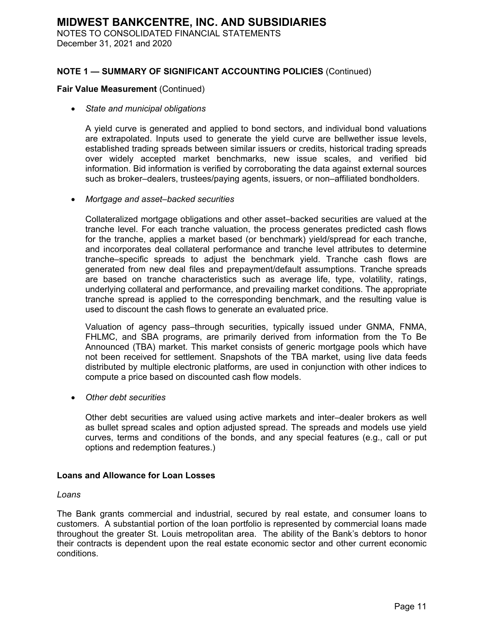NOTES TO CONSOLIDATED FINANCIAL STATEMENTS December 31, 2021 and 2020

### **NOTE 1 — SUMMARY OF SIGNIFICANT ACCOUNTING POLICIES** (Continued)

### **Fair Value Measurement (Continued)**

#### *State and municipal obligations*

A yield curve is generated and applied to bond sectors, and individual bond valuations are extrapolated. Inputs used to generate the yield curve are bellwether issue levels, established trading spreads between similar issuers or credits, historical trading spreads over widely accepted market benchmarks, new issue scales, and verified bid information. Bid information is verified by corroborating the data against external sources such as broker–dealers, trustees/paying agents, issuers, or non–affiliated bondholders.

#### *Mortgage and asset–backed securities*

Collateralized mortgage obligations and other asset–backed securities are valued at the tranche level. For each tranche valuation, the process generates predicted cash flows for the tranche, applies a market based (or benchmark) yield/spread for each tranche, and incorporates deal collateral performance and tranche level attributes to determine tranche–specific spreads to adjust the benchmark yield. Tranche cash flows are generated from new deal files and prepayment/default assumptions. Tranche spreads are based on tranche characteristics such as average life, type, volatility, ratings, underlying collateral and performance, and prevailing market conditions. The appropriate tranche spread is applied to the corresponding benchmark, and the resulting value is used to discount the cash flows to generate an evaluated price.

Valuation of agency pass–through securities, typically issued under GNMA, FNMA, FHLMC, and SBA programs, are primarily derived from information from the To Be Announced (TBA) market. This market consists of generic mortgage pools which have not been received for settlement. Snapshots of the TBA market, using live data feeds distributed by multiple electronic platforms, are used in conjunction with other indices to compute a price based on discounted cash flow models.

*Other debt securities*

Other debt securities are valued using active markets and inter–dealer brokers as well as bullet spread scales and option adjusted spread. The spreads and models use yield curves, terms and conditions of the bonds, and any special features (e.g., call or put options and redemption features.)

#### **Loans and Allowance for Loan Losses**

*Loans* 

The Bank grants commercial and industrial, secured by real estate, and consumer loans to customers. A substantial portion of the loan portfolio is represented by commercial loans made throughout the greater St. Louis metropolitan area. The ability of the Bank's debtors to honor their contracts is dependent upon the real estate economic sector and other current economic conditions.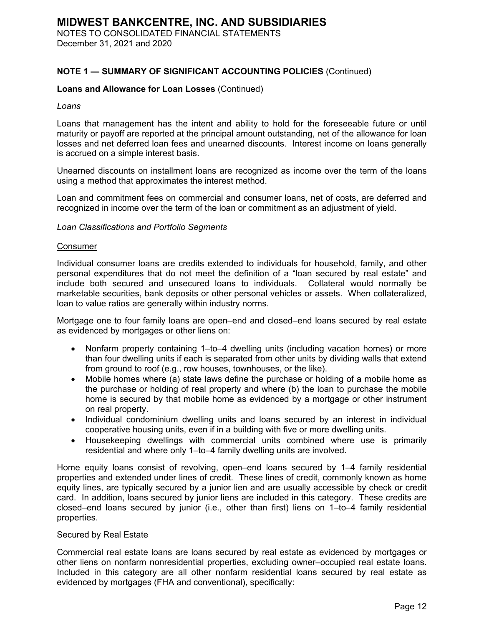NOTES TO CONSOLIDATED FINANCIAL STATEMENTS December 31, 2021 and 2020

### **NOTE 1 — SUMMARY OF SIGNIFICANT ACCOUNTING POLICIES** (Continued)

### **Loans and Allowance for Loan Losses** (Continued)

#### *Loans*

Loans that management has the intent and ability to hold for the foreseeable future or until maturity or payoff are reported at the principal amount outstanding, net of the allowance for loan losses and net deferred loan fees and unearned discounts. Interest income on loans generally is accrued on a simple interest basis.

Unearned discounts on installment loans are recognized as income over the term of the loans using a method that approximates the interest method.

Loan and commitment fees on commercial and consumer loans, net of costs, are deferred and recognized in income over the term of the loan or commitment as an adjustment of yield.

#### *Loan Classifications and Portfolio Segments*

#### **Consumer**

Individual consumer loans are credits extended to individuals for household, family, and other personal expenditures that do not meet the definition of a "loan secured by real estate" and include both secured and unsecured loans to individuals. Collateral would normally be marketable securities, bank deposits or other personal vehicles or assets. When collateralized, loan to value ratios are generally within industry norms.

Mortgage one to four family loans are open–end and closed–end loans secured by real estate as evidenced by mortgages or other liens on:

- Nonfarm property containing 1–to–4 dwelling units (including vacation homes) or more than four dwelling units if each is separated from other units by dividing walls that extend from ground to roof (e.g., row houses, townhouses, or the like).
- Mobile homes where (a) state laws define the purchase or holding of a mobile home as the purchase or holding of real property and where (b) the loan to purchase the mobile home is secured by that mobile home as evidenced by a mortgage or other instrument on real property.
- Individual condominium dwelling units and loans secured by an interest in individual cooperative housing units, even if in a building with five or more dwelling units.
- Housekeeping dwellings with commercial units combined where use is primarily residential and where only 1–to–4 family dwelling units are involved.

Home equity loans consist of revolving, open–end loans secured by 1–4 family residential properties and extended under lines of credit. These lines of credit, commonly known as home equity lines, are typically secured by a junior lien and are usually accessible by check or credit card. In addition, loans secured by junior liens are included in this category. These credits are closed–end loans secured by junior (i.e., other than first) liens on 1–to–4 family residential properties.

#### Secured by Real Estate

Commercial real estate loans are loans secured by real estate as evidenced by mortgages or other liens on nonfarm nonresidential properties, excluding owner–occupied real estate loans. Included in this category are all other nonfarm residential loans secured by real estate as evidenced by mortgages (FHA and conventional), specifically: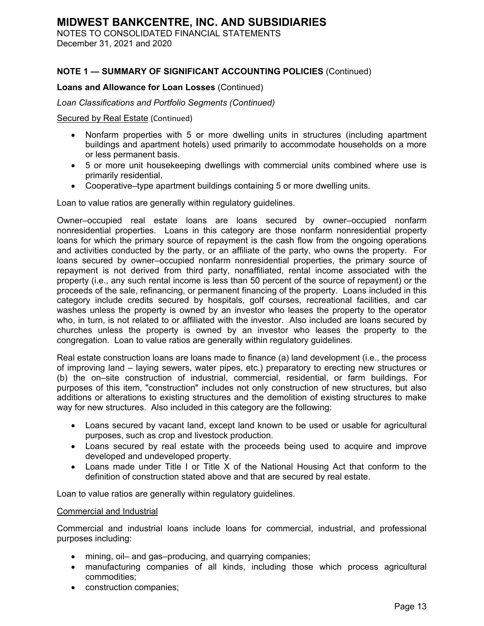NOTES TO CONSOLIDATED FINANCIAL STATEMENTS December 31, 2021 and 2020

## **NOTE 1 — SUMMARY OF SIGNIFICANT ACCOUNTING POLICIES** (Continued)

### **Loans and Allowance for Loan Losses** (Continued)

*Loan Classifications and Portfolio Segments (Continued)* 

Secured by Real Estate (Continued)

- Nonfarm properties with 5 or more dwelling units in structures (including apartment buildings and apartment hotels) used primarily to accommodate households on a more or less permanent basis.
- 5 or more unit housekeeping dwellings with commercial units combined where use is primarily residential.
- Cooperative–type apartment buildings containing 5 or more dwelling units.

Loan to value ratios are generally within regulatory guidelines.

Owner–occupied real estate loans are loans secured by owner–occupied nonfarm nonresidential properties. Loans in this category are those nonfarm nonresidential property loans for which the primary source of repayment is the cash flow from the ongoing operations and activities conducted by the party, or an affiliate of the party, who owns the property. For loans secured by owner–occupied nonfarm nonresidential properties, the primary source of repayment is not derived from third party, nonaffiliated, rental income associated with the property (i.e., any such rental income is less than 50 percent of the source of repayment) or the proceeds of the sale, refinancing, or permanent financing of the property. Loans included in this category include credits secured by hospitals, golf courses, recreational facilities, and car washes unless the property is owned by an investor who leases the property to the operator who, in turn, is not related to or affiliated with the investor. Also included are loans secured by churches unless the property is owned by an investor who leases the property to the congregation. Loan to value ratios are generally within regulatory guidelines.

Real estate construction loans are loans made to finance (a) land development (i.e., the process of improving land – laying sewers, water pipes, etc.) preparatory to erecting new structures or (b) the on–site construction of industrial, commercial, residential, or farm buildings. For purposes of this item, "construction" includes not only construction of new structures, but also additions or alterations to existing structures and the demolition of existing structures to make way for new structures. Also included in this category are the following:

- Loans secured by vacant land, except land known to be used or usable for agricultural purposes, such as crop and livestock production.
- Loans secured by real estate with the proceeds being used to acquire and improve developed and undeveloped property.
- Loans made under Title I or Title X of the National Housing Act that conform to the definition of construction stated above and that are secured by real estate.

Loan to value ratios are generally within regulatory guidelines.

#### Commercial and Industrial

Commercial and industrial loans include loans for commercial, industrial, and professional purposes including:

- mining, oil– and gas–producing, and quarrying companies;
- manufacturing companies of all kinds, including those which process agricultural commodities;
- construction companies;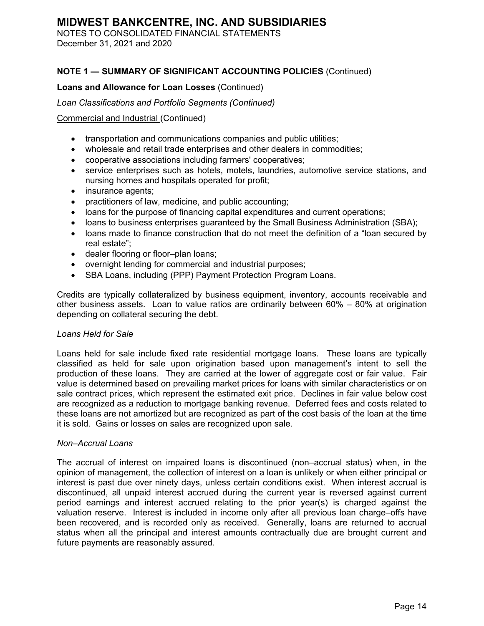NOTES TO CONSOLIDATED FINANCIAL STATEMENTS December 31, 2021 and 2020

## **NOTE 1 — SUMMARY OF SIGNIFICANT ACCOUNTING POLICIES** (Continued)

### **Loans and Allowance for Loan Losses** (Continued)

*Loan Classifications and Portfolio Segments (Continued)* 

Commercial and Industrial (Continued)

- transportation and communications companies and public utilities;
- wholesale and retail trade enterprises and other dealers in commodities;
- cooperative associations including farmers' cooperatives;
- service enterprises such as hotels, motels, laundries, automotive service stations, and nursing homes and hospitals operated for profit;
- insurance agents;
- practitioners of law, medicine, and public accounting;
- loans for the purpose of financing capital expenditures and current operations;
- loans to business enterprises guaranteed by the Small Business Administration (SBA);
- loans made to finance construction that do not meet the definition of a "loan secured by real estate";
- dealer flooring or floor–plan loans;
- overnight lending for commercial and industrial purposes;
- SBA Loans, including (PPP) Payment Protection Program Loans.

Credits are typically collateralized by business equipment, inventory, accounts receivable and other business assets. Loan to value ratios are ordinarily between 60% – 80% at origination depending on collateral securing the debt.

#### *Loans Held for Sale*

Loans held for sale include fixed rate residential mortgage loans. These loans are typically classified as held for sale upon origination based upon management's intent to sell the production of these loans. They are carried at the lower of aggregate cost or fair value. Fair value is determined based on prevailing market prices for loans with similar characteristics or on sale contract prices, which represent the estimated exit price. Declines in fair value below cost are recognized as a reduction to mortgage banking revenue. Deferred fees and costs related to these loans are not amortized but are recognized as part of the cost basis of the loan at the time it is sold. Gains or losses on sales are recognized upon sale.

#### *Non–Accrual Loans*

The accrual of interest on impaired loans is discontinued (non–accrual status) when, in the opinion of management, the collection of interest on a loan is unlikely or when either principal or interest is past due over ninety days, unless certain conditions exist. When interest accrual is discontinued, all unpaid interest accrued during the current year is reversed against current period earnings and interest accrued relating to the prior year(s) is charged against the valuation reserve. Interest is included in income only after all previous loan charge–offs have been recovered, and is recorded only as received. Generally, loans are returned to accrual status when all the principal and interest amounts contractually due are brought current and future payments are reasonably assured.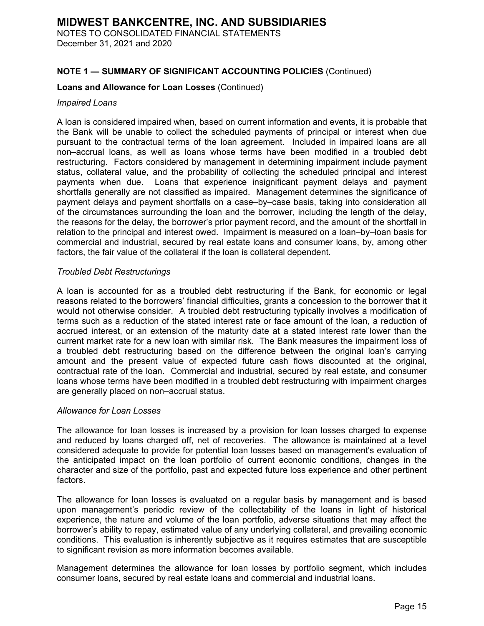NOTES TO CONSOLIDATED FINANCIAL STATEMENTS December 31, 2021 and 2020

### **NOTE 1 — SUMMARY OF SIGNIFICANT ACCOUNTING POLICIES** (Continued)

### **Loans and Allowance for Loan Losses** (Continued)

#### *Impaired Loans*

A loan is considered impaired when, based on current information and events, it is probable that the Bank will be unable to collect the scheduled payments of principal or interest when due pursuant to the contractual terms of the loan agreement. Included in impaired loans are all non–accrual loans, as well as loans whose terms have been modified in a troubled debt restructuring. Factors considered by management in determining impairment include payment status, collateral value, and the probability of collecting the scheduled principal and interest payments when due. Loans that experience insignificant payment delays and payment shortfalls generally are not classified as impaired. Management determines the significance of payment delays and payment shortfalls on a case–by–case basis, taking into consideration all of the circumstances surrounding the loan and the borrower, including the length of the delay, the reasons for the delay, the borrower's prior payment record, and the amount of the shortfall in relation to the principal and interest owed. Impairment is measured on a loan–by–loan basis for commercial and industrial, secured by real estate loans and consumer loans, by, among other factors, the fair value of the collateral if the loan is collateral dependent.

#### *Troubled Debt Restructurings*

A loan is accounted for as a troubled debt restructuring if the Bank, for economic or legal reasons related to the borrowers' financial difficulties, grants a concession to the borrower that it would not otherwise consider. A troubled debt restructuring typically involves a modification of terms such as a reduction of the stated interest rate or face amount of the loan, a reduction of accrued interest, or an extension of the maturity date at a stated interest rate lower than the current market rate for a new loan with similar risk. The Bank measures the impairment loss of a troubled debt restructuring based on the difference between the original loan's carrying amount and the present value of expected future cash flows discounted at the original, contractual rate of the loan. Commercial and industrial, secured by real estate, and consumer loans whose terms have been modified in a troubled debt restructuring with impairment charges are generally placed on non–accrual status.

#### *Allowance for Loan Losses*

The allowance for loan losses is increased by a provision for loan losses charged to expense and reduced by loans charged off, net of recoveries. The allowance is maintained at a level considered adequate to provide for potential loan losses based on management's evaluation of the anticipated impact on the loan portfolio of current economic conditions, changes in the character and size of the portfolio, past and expected future loss experience and other pertinent factors.

The allowance for loan losses is evaluated on a regular basis by management and is based upon management's periodic review of the collectability of the loans in light of historical experience, the nature and volume of the loan portfolio, adverse situations that may affect the borrower's ability to repay, estimated value of any underlying collateral, and prevailing economic conditions. This evaluation is inherently subjective as it requires estimates that are susceptible to significant revision as more information becomes available.

Management determines the allowance for loan losses by portfolio segment, which includes consumer loans, secured by real estate loans and commercial and industrial loans.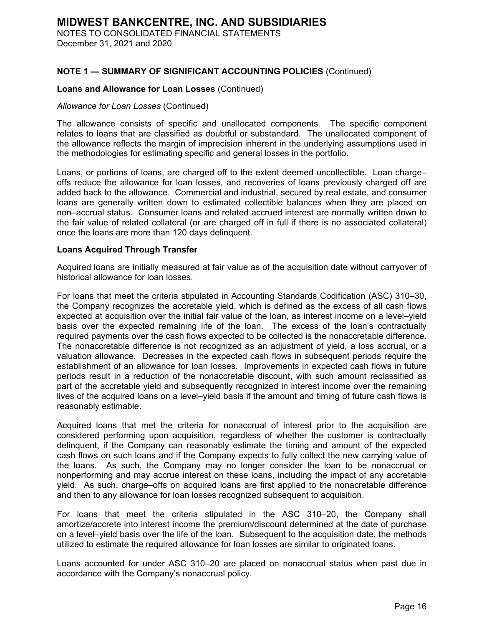NOTES TO CONSOLIDATED FINANCIAL STATEMENTS December 31, 2021 and 2020

### **NOTE 1 — SUMMARY OF SIGNIFICANT ACCOUNTING POLICIES** (Continued)

#### **Loans and Allowance for Loan Losses** (Continued)

#### *Allowance for Loan Losses* (Continued)

The allowance consists of specific and unallocated components. The specific component relates to loans that are classified as doubtful or substandard. The unallocated component of the allowance reflects the margin of imprecision inherent in the underlying assumptions used in the methodologies for estimating specific and general losses in the portfolio.

Loans, or portions of loans, are charged off to the extent deemed uncollectible. Loan charge– offs reduce the allowance for loan losses, and recoveries of loans previously charged off are added back to the allowance. Commercial and industrial, secured by real estate, and consumer loans are generally written down to estimated collectible balances when they are placed on non–accrual status. Consumer loans and related accrued interest are normally written down to the fair value of related collateral (or are charged off in full if there is no associated collateral) once the loans are more than 120 days delinquent.

#### **Loans Acquired Through Transfer**

Acquired loans are initially measured at fair value as of the acquisition date without carryover of historical allowance for loan losses.

For loans that meet the criteria stipulated in Accounting Standards Codification (ASC) 310–30, the Company recognizes the accretable yield, which is defined as the excess of all cash flows expected at acquisition over the initial fair value of the loan, as interest income on a level–yield basis over the expected remaining life of the loan. The excess of the loan's contractually required payments over the cash flows expected to be collected is the nonaccretable difference. The nonaccretable difference is not recognized as an adjustment of yield, a loss accrual, or a valuation allowance. Decreases in the expected cash flows in subsequent periods require the establishment of an allowance for loan losses. Improvements in expected cash flows in future periods result in a reduction of the nonaccretable discount, with such amount reclassified as part of the accretable yield and subsequently recognized in interest income over the remaining lives of the acquired loans on a level–yield basis if the amount and timing of future cash flows is reasonably estimable.

Acquired loans that met the criteria for nonaccrual of interest prior to the acquisition are considered performing upon acquisition, regardless of whether the customer is contractually delinquent, if the Company can reasonably estimate the timing and amount of the expected cash flows on such loans and if the Company expects to fully collect the new carrying value of the loans. As such, the Company may no longer consider the loan to be nonaccrual or nonperforming and may accrue interest on these loans, including the impact of any accretable yield. As such, charge–offs on acquired loans are first applied to the nonacretable difference and then to any allowance for loan losses recognized subsequent to acquisition.

For loans that meet the criteria stipulated in the ASC 310–20, the Company shall amortize/accrete into interest income the premium/discount determined at the date of purchase on a level–yield basis over the life of the loan. Subsequent to the acquisition date, the methods utilized to estimate the required allowance for loan losses are similar to originated loans.

Loans accounted for under ASC 310–20 are placed on nonaccrual status when past due in accordance with the Company's nonaccrual policy.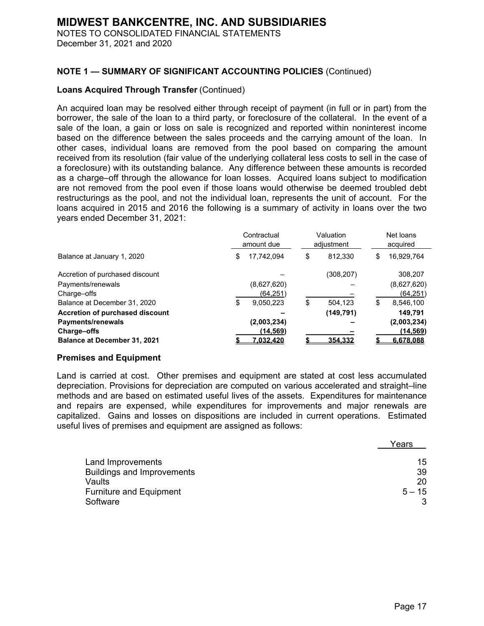NOTES TO CONSOLIDATED FINANCIAL STATEMENTS December 31, 2021 and 2020

### **NOTE 1 — SUMMARY OF SIGNIFICANT ACCOUNTING POLICIES** (Continued)

### **Loans Acquired Through Transfer** (Continued)

An acquired loan may be resolved either through receipt of payment (in full or in part) from the borrower, the sale of the loan to a third party, or foreclosure of the collateral. In the event of a sale of the loan, a gain or loss on sale is recognized and reported within noninterest income based on the difference between the sales proceeds and the carrying amount of the loan. In other cases, individual loans are removed from the pool based on comparing the amount received from its resolution (fair value of the underlying collateral less costs to sell in the case of a foreclosure) with its outstanding balance. Any difference between these amounts is recorded as a charge–off through the allowance for loan losses. Acquired loans subject to modification are not removed from the pool even if those loans would otherwise be deemed troubled debt restructurings as the pool, and not the individual loan, represents the unit of account. For the loans acquired in 2015 and 2016 the following is a summary of activity in loans over the two years ended December 31, 2021:

|                                     | Contractual<br>amount due | Valuation<br>adiustment | Net loans<br>acquired |
|-------------------------------------|---------------------------|-------------------------|-----------------------|
| Balance at January 1, 2020          | \$<br>17,742,094          | \$<br>812,330           | \$<br>16,929,764      |
| Accretion of purchased discount     |                           | (308, 207)              | 308.207               |
| Payments/renewals                   | (8,627,620)               |                         | (8,627,620)           |
| Charge-offs                         | (64,251)                  |                         | (64, 251)             |
| Balance at December 31, 2020        | \$<br>9,050,223           | \$<br>504,123           | \$<br>8,546,100       |
| Accretion of purchased discount     |                           | (149, 791)              | 149.791               |
| <b>Payments/renewals</b>            | (2,003,234)               |                         | (2,003,234)           |
| Charge-offs                         | (14, 569)                 |                         | (14, 569)             |
| <b>Balance at December 31, 2021</b> | <u>7.032.420</u>          | 354.332                 | 6,678,088             |

#### **Premises and Equipment**

Land is carried at cost. Other premises and equipment are stated at cost less accumulated depreciation. Provisions for depreciation are computed on various accelerated and straight–line methods and are based on estimated useful lives of the assets. Expenditures for maintenance and repairs are expensed, while expenditures for improvements and major renewals are capitalized. Gains and losses on dispositions are included in current operations. Estimated useful lives of premises and equipment are assigned as follows:

|                                   | Years    |
|-----------------------------------|----------|
| Land Improvements                 | 15       |
| <b>Buildings and Improvements</b> | 39       |
| Vaults                            | 20       |
| <b>Furniture and Equipment</b>    | $5 - 15$ |
| Software                          | 3        |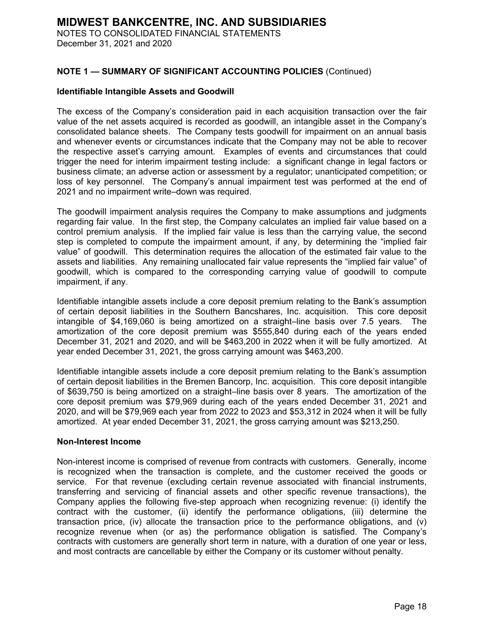NOTES TO CONSOLIDATED FINANCIAL STATEMENTS December 31, 2021 and 2020

### **NOTE 1 — SUMMARY OF SIGNIFICANT ACCOUNTING POLICIES** (Continued)

### **Identifiable Intangible Assets and Goodwill**

The excess of the Company's consideration paid in each acquisition transaction over the fair value of the net assets acquired is recorded as goodwill, an intangible asset in the Company's consolidated balance sheets. The Company tests goodwill for impairment on an annual basis and whenever events or circumstances indicate that the Company may not be able to recover the respective asset's carrying amount. Examples of events and circumstances that could trigger the need for interim impairment testing include: a significant change in legal factors or business climate; an adverse action or assessment by a regulator; unanticipated competition; or loss of key personnel. The Company's annual impairment test was performed at the end of 2021 and no impairment write–down was required.

The goodwill impairment analysis requires the Company to make assumptions and judgments regarding fair value. In the first step, the Company calculates an implied fair value based on a control premium analysis. If the implied fair value is less than the carrying value, the second step is completed to compute the impairment amount, if any, by determining the "implied fair value" of goodwill. This determination requires the allocation of the estimated fair value to the assets and liabilities. Any remaining unallocated fair value represents the "implied fair value" of goodwill, which is compared to the corresponding carrying value of goodwill to compute impairment, if any.

Identifiable intangible assets include a core deposit premium relating to the Bank's assumption of certain deposit liabilities in the Southern Bancshares, Inc. acquisition. This core deposit intangible of \$4,169,060 is being amortized on a straight–line basis over 7.5 years. The amortization of the core deposit premium was \$555,840 during each of the years ended December 31, 2021 and 2020, and will be \$463,200 in 2022 when it will be fully amortized. At year ended December 31, 2021, the gross carrying amount was \$463,200.

Identifiable intangible assets include a core deposit premium relating to the Bank's assumption of certain deposit liabilities in the Bremen Bancorp, Inc. acquisition. This core deposit intangible of \$639,750 is being amortized on a straight–line basis over 8 years. The amortization of the core deposit premium was \$79,969 during each of the years ended December 31, 2021 and 2020, and will be \$79,969 each year from 2022 to 2023 and \$53,312 in 2024 when it will be fully amortized. At year ended December 31, 2021, the gross carrying amount was \$213,250.

#### **Non-Interest Income**

Non-interest income is comprised of revenue from contracts with customers. Generally, income is recognized when the transaction is complete, and the customer received the goods or service. For that revenue (excluding certain revenue associated with financial instruments, transferring and servicing of financial assets and other specific revenue transactions), the Company applies the following five-step approach when recognizing revenue: (i) identify the contract with the customer, (ii) identify the performance obligations, (iii) determine the transaction price, (iv) allocate the transaction price to the performance obligations, and (v) recognize revenue when (or as) the performance obligation is satisfied. The Company's contracts with customers are generally short term in nature, with a duration of one year or less, and most contracts are cancellable by either the Company or its customer without penalty.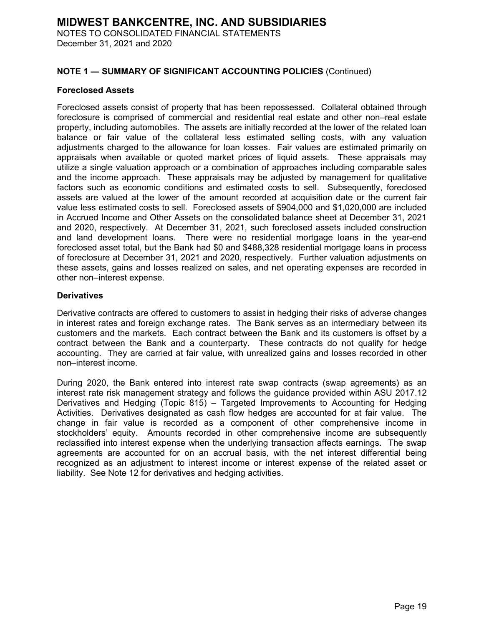NOTES TO CONSOLIDATED FINANCIAL STATEMENTS December 31, 2021 and 2020

### **NOTE 1 — SUMMARY OF SIGNIFICANT ACCOUNTING POLICIES** (Continued)

### **Foreclosed Assets**

Foreclosed assets consist of property that has been repossessed. Collateral obtained through foreclosure is comprised of commercial and residential real estate and other non–real estate property, including automobiles. The assets are initially recorded at the lower of the related loan balance or fair value of the collateral less estimated selling costs, with any valuation adjustments charged to the allowance for loan losses. Fair values are estimated primarily on appraisals when available or quoted market prices of liquid assets. These appraisals may utilize a single valuation approach or a combination of approaches including comparable sales and the income approach. These appraisals may be adjusted by management for qualitative factors such as economic conditions and estimated costs to sell. Subsequently, foreclosed assets are valued at the lower of the amount recorded at acquisition date or the current fair value less estimated costs to sell. Foreclosed assets of \$904,000 and \$1,020,000 are included in Accrued Income and Other Assets on the consolidated balance sheet at December 31, 2021 and 2020, respectively. At December 31, 2021, such foreclosed assets included construction and land development loans. There were no residential mortgage loans in the year-end foreclosed asset total, but the Bank had \$0 and \$488,328 residential mortgage loans in process of foreclosure at December 31, 2021 and 2020, respectively. Further valuation adjustments on these assets, gains and losses realized on sales, and net operating expenses are recorded in other non–interest expense.

### **Derivatives**

Derivative contracts are offered to customers to assist in hedging their risks of adverse changes in interest rates and foreign exchange rates. The Bank serves as an intermediary between its customers and the markets. Each contract between the Bank and its customers is offset by a contract between the Bank and a counterparty. These contracts do not qualify for hedge accounting. They are carried at fair value, with unrealized gains and losses recorded in other non–interest income.

During 2020, the Bank entered into interest rate swap contracts (swap agreements) as an interest rate risk management strategy and follows the guidance provided within ASU 2017.12 Derivatives and Hedging (Topic 815) – Targeted Improvements to Accounting for Hedging Activities. Derivatives designated as cash flow hedges are accounted for at fair value. The change in fair value is recorded as a component of other comprehensive income in stockholders' equity. Amounts recorded in other comprehensive income are subsequently reclassified into interest expense when the underlying transaction affects earnings. The swap agreements are accounted for on an accrual basis, with the net interest differential being recognized as an adjustment to interest income or interest expense of the related asset or liability. See Note 12 for derivatives and hedging activities.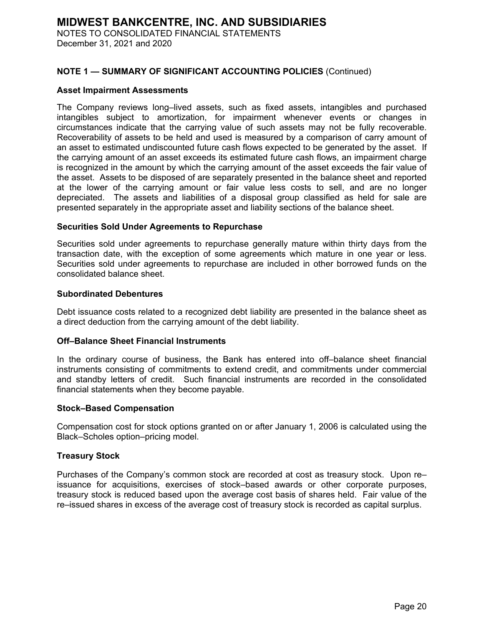NOTES TO CONSOLIDATED FINANCIAL STATEMENTS December 31, 2021 and 2020

### **NOTE 1 — SUMMARY OF SIGNIFICANT ACCOUNTING POLICIES** (Continued)

#### **Asset Impairment Assessments**

The Company reviews long–lived assets, such as fixed assets, intangibles and purchased intangibles subject to amortization, for impairment whenever events or changes in circumstances indicate that the carrying value of such assets may not be fully recoverable. Recoverability of assets to be held and used is measured by a comparison of carry amount of an asset to estimated undiscounted future cash flows expected to be generated by the asset. If the carrying amount of an asset exceeds its estimated future cash flows, an impairment charge is recognized in the amount by which the carrying amount of the asset exceeds the fair value of the asset. Assets to be disposed of are separately presented in the balance sheet and reported at the lower of the carrying amount or fair value less costs to sell, and are no longer depreciated. The assets and liabilities of a disposal group classified as held for sale are presented separately in the appropriate asset and liability sections of the balance sheet.

#### **Securities Sold Under Agreements to Repurchase**

Securities sold under agreements to repurchase generally mature within thirty days from the transaction date, with the exception of some agreements which mature in one year or less. Securities sold under agreements to repurchase are included in other borrowed funds on the consolidated balance sheet.

#### **Subordinated Debentures**

Debt issuance costs related to a recognized debt liability are presented in the balance sheet as a direct deduction from the carrying amount of the debt liability.

#### **Off–Balance Sheet Financial Instruments**

In the ordinary course of business, the Bank has entered into off–balance sheet financial instruments consisting of commitments to extend credit, and commitments under commercial and standby letters of credit. Such financial instruments are recorded in the consolidated financial statements when they become payable.

#### **Stock–Based Compensation**

Compensation cost for stock options granted on or after January 1, 2006 is calculated using the Black–Scholes option–pricing model.

#### **Treasury Stock**

Purchases of the Company's common stock are recorded at cost as treasury stock. Upon re– issuance for acquisitions, exercises of stock–based awards or other corporate purposes, treasury stock is reduced based upon the average cost basis of shares held. Fair value of the re–issued shares in excess of the average cost of treasury stock is recorded as capital surplus.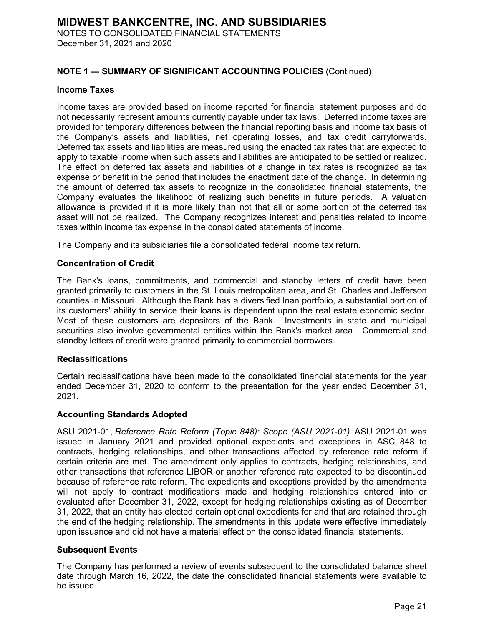NOTES TO CONSOLIDATED FINANCIAL STATEMENTS December 31, 2021 and 2020

### **NOTE 1 — SUMMARY OF SIGNIFICANT ACCOUNTING POLICIES** (Continued)

### **Income Taxes**

Income taxes are provided based on income reported for financial statement purposes and do not necessarily represent amounts currently payable under tax laws. Deferred income taxes are provided for temporary differences between the financial reporting basis and income tax basis of the Company's assets and liabilities, net operating losses, and tax credit carryforwards. Deferred tax assets and liabilities are measured using the enacted tax rates that are expected to apply to taxable income when such assets and liabilities are anticipated to be settled or realized. The effect on deferred tax assets and liabilities of a change in tax rates is recognized as tax expense or benefit in the period that includes the enactment date of the change. In determining the amount of deferred tax assets to recognize in the consolidated financial statements, the Company evaluates the likelihood of realizing such benefits in future periods. A valuation allowance is provided if it is more likely than not that all or some portion of the deferred tax asset will not be realized. The Company recognizes interest and penalties related to income taxes within income tax expense in the consolidated statements of income.

The Company and its subsidiaries file a consolidated federal income tax return.

### **Concentration of Credit**

The Bank's loans, commitments, and commercial and standby letters of credit have been granted primarily to customers in the St. Louis metropolitan area, and St. Charles and Jefferson counties in Missouri. Although the Bank has a diversified loan portfolio, a substantial portion of its customers' ability to service their loans is dependent upon the real estate economic sector. Most of these customers are depositors of the Bank. Investments in state and municipal securities also involve governmental entities within the Bank's market area. Commercial and standby letters of credit were granted primarily to commercial borrowers.

#### **Reclassifications**

Certain reclassifications have been made to the consolidated financial statements for the year ended December 31, 2020 to conform to the presentation for the year ended December 31, 2021.

#### **Accounting Standards Adopted**

ASU 2021-01, *Reference Rate Reform (Topic 848): Scope (ASU 2021-01).* ASU 2021-01 was issued in January 2021 and provided optional expedients and exceptions in ASC 848 to contracts, hedging relationships, and other transactions affected by reference rate reform if certain criteria are met. The amendment only applies to contracts, hedging relationships, and other transactions that reference LIBOR or another reference rate expected to be discontinued because of reference rate reform. The expedients and exceptions provided by the amendments will not apply to contract modifications made and hedging relationships entered into or evaluated after December 31, 2022, except for hedging relationships existing as of December 31, 2022, that an entity has elected certain optional expedients for and that are retained through the end of the hedging relationship. The amendments in this update were effective immediately upon issuance and did not have a material effect on the consolidated financial statements.

#### **Subsequent Events**

The Company has performed a review of events subsequent to the consolidated balance sheet date through March 16, 2022, the date the consolidated financial statements were available to be issued.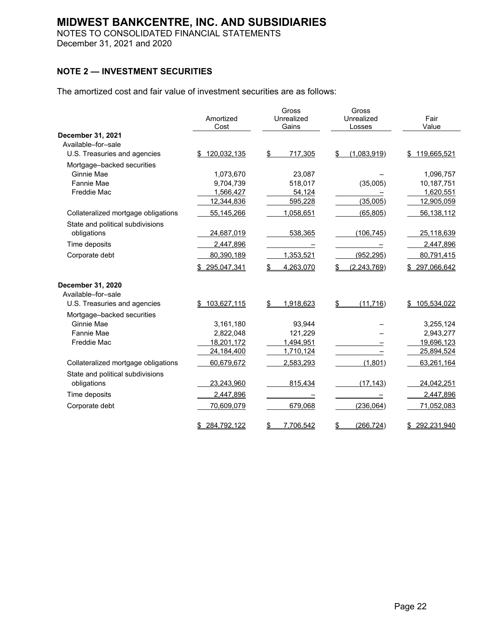NOTES TO CONSOLIDATED FINANCIAL STATEMENTS December 31, 2021 and 2020

# **NOTE 2 — INVESTMENT SECURITIES**

The amortized cost and fair value of investment securities are as follows:

|                                         | Amortized<br>Cost | Gross<br>Unrealized<br>Gains | Gross<br>Unrealized<br>Losses | Fair<br>Value     |
|-----------------------------------------|-------------------|------------------------------|-------------------------------|-------------------|
| December 31, 2021<br>Available-for-sale |                   |                              |                               |                   |
| U.S. Treasuries and agencies            | 120,032,135<br>\$ | \$<br>717,305                | (1,083,919)<br>\$             | 119,665,521       |
| Mortgage-backed securities              |                   |                              |                               |                   |
| Ginnie Mae                              | 1,073,670         | 23,087                       |                               | 1,096,757         |
| <b>Fannie Mae</b>                       | 9,704,739         | 518,017                      | (35,005)                      | 10,187,751        |
| <b>Freddie Mac</b>                      | 1,566,427         | 54,124                       |                               | 1,620,551         |
|                                         | 12,344,836        | 595,228                      | (35,005)                      | 12,905,059        |
| Collateralized mortgage obligations     | 55,145,266        | 1,058,651                    | (65, 805)                     | 56,138,112        |
| State and political subdivisions        |                   |                              |                               |                   |
| obligations                             | 24,687,019        | 538,365                      | (106, 745)                    | 25,118,639        |
| Time deposits                           | 2,447,896         |                              |                               | 2,447,896         |
| Corporate debt                          | 80,390,189        | 1,353,521                    | (952, 295)                    | 80,791,415        |
|                                         | \$295,047,341     | 4,263,070                    | (2,243,769)                   | \$297,066,642     |
| December 31, 2020                       |                   |                              |                               |                   |
| Available-for-sale                      |                   |                              |                               |                   |
| U.S. Treasuries and agencies            | 103,627,115<br>\$ | 1,918,623<br>\$              | (11, 716)<br>$\frac{1}{2}$    | 105,534,022<br>\$ |
| Mortgage-backed securities              |                   |                              |                               |                   |
| Ginnie Mae                              | 3,161,180         | 93,944                       |                               | 3,255,124         |
| <b>Fannie Mae</b>                       | 2,822,048         | 121,229                      |                               | 2,943,277         |
| <b>Freddie Mac</b>                      | 18,201,172        | 1,494,951                    |                               | 19,696,123        |
|                                         | 24,184,400        | 1,710,124                    |                               | 25,894,524        |
| Collateralized mortgage obligations     | 60,679,672        | 2,583,293                    | (1,801)                       | 63,261,164        |
| State and political subdivisions        |                   |                              |                               |                   |
| obligations                             | 23,243,960        | 815,434                      | (17, 143)                     | 24,042,251        |
| Time deposits                           | 2,447,896         |                              |                               | 2,447,896         |
| Corporate debt                          | 70,609,079        | 679,068                      | (236,064)                     | 71,052,083        |
|                                         | 284,792,122<br>\$ | 7,706,542<br>\$              | \$<br>(266, 724)              | 292,231,940<br>\$ |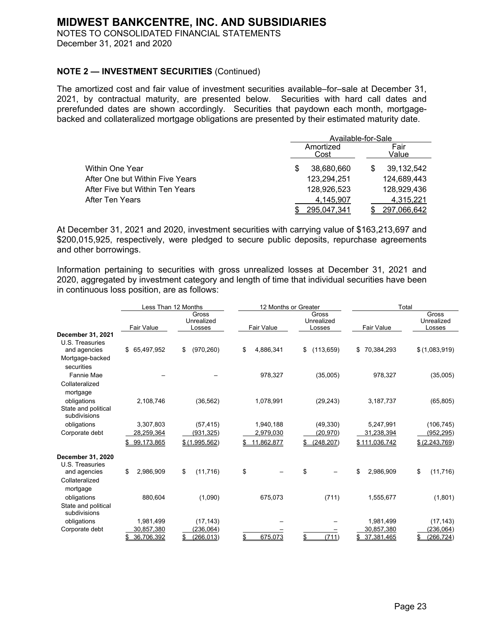NOTES TO CONSOLIDATED FINANCIAL STATEMENTS December 31, 2021 and 2020

### **NOTE 2 — INVESTMENT SECURITIES** (Continued)

The amortized cost and fair value of investment securities available–for–sale at December 31, 2021, by contractual maturity, are presented below. Securities with hard call dates and prerefunded dates are shown accordingly. Securities that paydown each month, mortgagebacked and collateralized mortgage obligations are presented by their estimated maturity date.

|                                 |   | Available-for-Sale |   |               |  |
|---------------------------------|---|--------------------|---|---------------|--|
|                                 |   | Amortized<br>Cost  |   | Fair<br>Value |  |
| Within One Year                 | S | 38,680,660         | S | 39,132,542    |  |
| After One but Within Five Years |   | 123,294,251        |   | 124,689,443   |  |
| After Five but Within Ten Years |   | 128,926,523        |   | 128,929,436   |  |
| After Ten Years                 |   | 4,145,907          |   | 4.315.221     |  |
|                                 |   | 295.047.341        |   | 297,066,642   |  |

At December 31, 2021 and 2020, investment securities with carrying value of \$163,213,697 and \$200,015,925, respectively, were pledged to secure public deposits, repurchase agreements and other borrowings.

Information pertaining to securities with gross unrealized losses at December 31, 2021 and 2020, aggregated by investment category and length of time that individual securities have been in continuous loss position, are as follows:

|                                     |                  | Less Than 12 Months<br>12 Months or Greater |               |                               |                  | Total                         |  |
|-------------------------------------|------------------|---------------------------------------------|---------------|-------------------------------|------------------|-------------------------------|--|
|                                     | Fair Value       | Gross<br>Unrealized<br>Losses               | Fair Value    | Gross<br>Unrealized<br>Losses | Fair Value       | Gross<br>Unrealized<br>Losses |  |
| December 31, 2021                   |                  |                                             |               |                               |                  |                               |  |
| U.S. Treasuries                     | \$               | \$                                          | \$            |                               |                  |                               |  |
| and agencies<br>Mortgage-backed     | 65,497,952       | (970, 260)                                  | 4,886,341     | (113, 659)<br>\$              | 70,384,293<br>\$ | \$(1,083,919)                 |  |
| securities                          |                  |                                             |               |                               |                  |                               |  |
| <b>Fannie Mae</b>                   |                  |                                             | 978,327       | (35,005)                      | 978,327          | (35,005)                      |  |
| Collateralized                      |                  |                                             |               |                               |                  |                               |  |
| mortgage                            |                  |                                             |               |                               |                  |                               |  |
| obligations                         | 2,108,746        | (36, 562)                                   | 1,078,991     | (29, 243)                     | 3,187,737        | (65, 805)                     |  |
| State and political<br>subdivisions |                  |                                             |               |                               |                  |                               |  |
| obligations                         | 3,307,803        | (57, 415)                                   | 1,940,188     | (49, 330)                     | 5,247,991        | (106, 745)                    |  |
| Corporate debt                      | 28,259,364       | (931, 325)                                  | 2,979,030     | (20, 970)                     | 31,238,394       | (952, 295)                    |  |
|                                     | 99,173,865       | \$(1,995,562)                               | 11,862,877    | (248, 207)                    | \$111,036,742    | \$(2,243,769)                 |  |
| December 31, 2020                   |                  |                                             |               |                               |                  |                               |  |
| U.S. Treasuries                     |                  |                                             |               |                               |                  |                               |  |
| and agencies                        | \$<br>2,986,909  | \$<br>(11, 716)                             | \$            | \$                            | 2,986,909<br>\$  | \$<br>(11, 716)               |  |
| Collateralized                      |                  |                                             |               |                               |                  |                               |  |
| mortgage                            | 880,604          |                                             |               |                               | 1,555,677        |                               |  |
| obligations<br>State and political  |                  | (1,090)                                     | 675,073       | (711)                         |                  | (1, 801)                      |  |
| subdivisions                        |                  |                                             |               |                               |                  |                               |  |
| obligations                         | 1,981,499        | (17, 143)                                   |               |                               | 1,981,499        | (17, 143)                     |  |
| Corporate debt                      | 30,857,380       | (236,064)                                   |               |                               | 30,857,380       | (236,064)                     |  |
|                                     | 36.706.392<br>S. | (266.013)                                   | 675.073<br>\$ | (711)<br>\$                   | 37.381.465<br>\$ | (266.724)<br>\$               |  |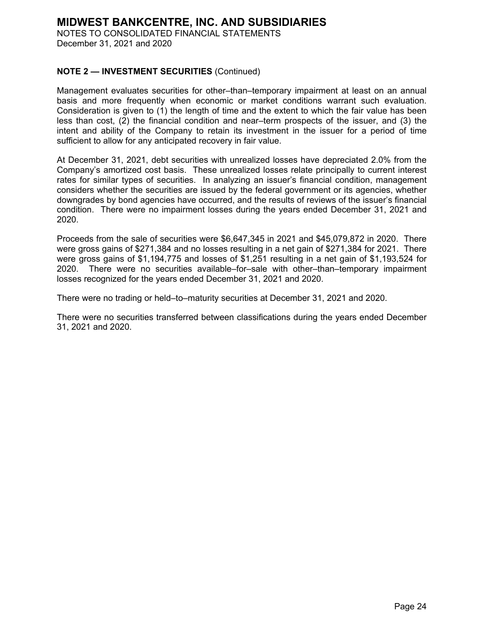NOTES TO CONSOLIDATED FINANCIAL STATEMENTS December 31, 2021 and 2020

## **NOTE 2 — INVESTMENT SECURITIES** (Continued)

Management evaluates securities for other–than–temporary impairment at least on an annual basis and more frequently when economic or market conditions warrant such evaluation. Consideration is given to (1) the length of time and the extent to which the fair value has been less than cost, (2) the financial condition and near–term prospects of the issuer, and (3) the intent and ability of the Company to retain its investment in the issuer for a period of time sufficient to allow for any anticipated recovery in fair value.

At December 31, 2021, debt securities with unrealized losses have depreciated 2.0% from the Company's amortized cost basis. These unrealized losses relate principally to current interest rates for similar types of securities. In analyzing an issuer's financial condition, management considers whether the securities are issued by the federal government or its agencies, whether downgrades by bond agencies have occurred, and the results of reviews of the issuer's financial condition. There were no impairment losses during the years ended December 31, 2021 and 2020.

Proceeds from the sale of securities were \$6,647,345 in 2021 and \$45,079,872 in 2020. There were gross gains of \$271,384 and no losses resulting in a net gain of \$271,384 for 2021. There were gross gains of \$1,194,775 and losses of \$1,251 resulting in a net gain of \$1,193,524 for 2020. There were no securities available–for–sale with other–than–temporary impairment losses recognized for the years ended December 31, 2021 and 2020.

There were no trading or held–to–maturity securities at December 31, 2021 and 2020.

There were no securities transferred between classifications during the years ended December 31, 2021 and 2020.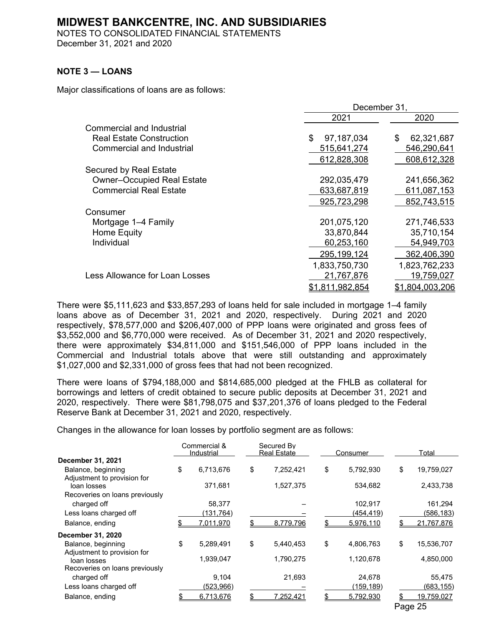NOTES TO CONSOLIDATED FINANCIAL STATEMENTS December 31, 2021 and 2020

### **NOTE 3 — LOANS**

Major classifications of loans are as follows:

|                                   | December 31,     |                  |  |  |
|-----------------------------------|------------------|------------------|--|--|
|                                   | 2021             | 2020             |  |  |
| Commercial and Industrial         |                  |                  |  |  |
| <b>Real Estate Construction</b>   | \$<br>97,187,034 | \$<br>62,321,687 |  |  |
| Commercial and Industrial         | 515,641,274      | 546,290,641      |  |  |
|                                   | 612,828,308      | 608,612,328      |  |  |
| Secured by Real Estate            |                  |                  |  |  |
| <b>Owner-Occupied Real Estate</b> | 292,035,479      | 241,656,362      |  |  |
| <b>Commercial Real Estate</b>     | 633,687,819      | 611,087,153      |  |  |
|                                   | 925,723,298      | 852,743,515      |  |  |
| Consumer                          |                  |                  |  |  |
| Mortgage 1–4 Family               | 201,075,120      | 271,746,533      |  |  |
| Home Equity                       | 33,870,844       | 35,710,154       |  |  |
| Individual                        | 60,253,160       | 54,949,703       |  |  |
|                                   | 295, 199, 124    | 362,406,390      |  |  |
|                                   | 1,833,750,730    | 1,823,762,233    |  |  |
| Less Allowance for Loan Losses    | 21,767,876       | 19,759,027       |  |  |
|                                   | \$1,811,982,854  | \$1,804,003,206  |  |  |

There were \$5,111,623 and \$33,857,293 of loans held for sale included in mortgage 1–4 family loans above as of December 31, 2021 and 2020, respectively. During 2021 and 2020 respectively, \$78,577,000 and \$206,407,000 of PPP loans were originated and gross fees of \$3,552,000 and \$6,770,000 were received. As of December 31, 2021 and 2020 respectively, there were approximately \$34,811,000 and \$151,546,000 of PPP loans included in the Commercial and Industrial totals above that were still outstanding and approximately \$1,027,000 and \$2,331,000 of gross fees that had not been recognized.

There were loans of \$794,188,000 and \$814,685,000 pledged at the FHLB as collateral for borrowings and letters of credit obtained to secure public deposits at December 31, 2021 and 2020, respectively. There were \$81,798,075 and \$37,201,376 of loans pledged to the Federal Reserve Bank at December 31, 2021 and 2020, respectively.

Changes in the allowance for loan losses by portfolio segment are as follows:

|                                                   | Commercial &<br>Industrial | Secured Bv<br><b>Real Estate</b> | Consumer         | Total            |
|---------------------------------------------------|----------------------------|----------------------------------|------------------|------------------|
| <b>December 31, 2021</b>                          |                            |                                  |                  |                  |
| Balance, beginning<br>Adjustment to provision for | \$<br>6,713,676            | \$<br>7,252,421                  | \$<br>5,792,930  | \$<br>19,759,027 |
| loan losses                                       | 371,681                    | 1,527,375                        | 534,682          | 2,433,738        |
| Recoveries on loans previously                    |                            |                                  |                  |                  |
| charged off                                       | 58,377                     |                                  | 102,917          | 161,294          |
| Less loans charged off                            | (131, 764)                 |                                  | (454,419)        | (586,183)        |
| Balance, ending                                   | 7.011.970                  | 8.779.796                        | 5.976.110        | 21,767,876       |
| December 31, 2020                                 |                            |                                  |                  |                  |
| Balance, beginning<br>Adjustment to provision for | \$<br>5,289,491            | \$<br>5,440,453                  | \$<br>4,806,763  | \$<br>15,536,707 |
| loan losses                                       | 1,939,047                  | 1,790,275                        | 1,120,678        | 4,850,000        |
| Recoveries on loans previously                    |                            |                                  |                  |                  |
| charged off                                       | 9,104                      | 21,693                           | 24,678           | 55,475           |
| Less loans charged off                            | <u>(523,966)</u>           |                                  | <u>(159,189)</u> | <u>(683,155)</u> |
| Balance, ending                                   | 6,713,676                  | 7,252,421                        | 5,792,930        | 19,759,027       |
|                                                   |                            |                                  |                  | Page 25          |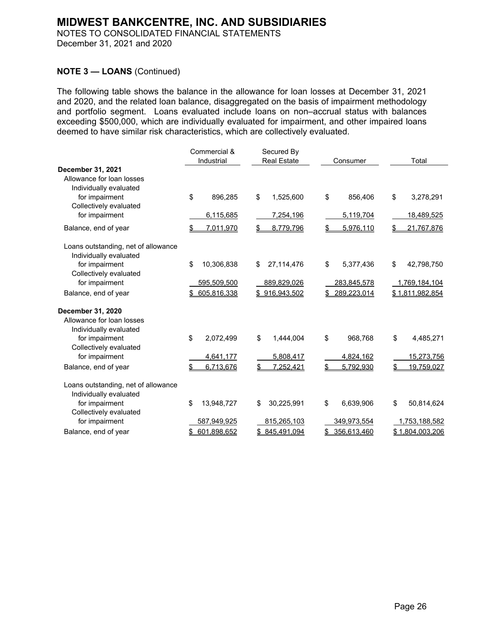NOTES TO CONSOLIDATED FINANCIAL STATEMENTS December 31, 2021 and 2020

### **NOTE 3 — LOANS** (Continued)

The following table shows the balance in the allowance for loan losses at December 31, 2021 and 2020, and the related loan balance, disaggregated on the basis of impairment methodology and portfolio segment. Loans evaluated include loans on non–accrual status with balances exceeding \$500,000, which are individually evaluated for impairment, and other impaired loans deemed to have similar risk characteristics, which are collectively evaluated.

|                                                               | Commercial &<br>Industrial | Secured By<br><b>Real Estate</b> | Consumer          | Total            |
|---------------------------------------------------------------|----------------------------|----------------------------------|-------------------|------------------|
| December 31, 2021                                             |                            |                                  |                   |                  |
| Allowance for loan losses                                     |                            |                                  |                   |                  |
| Individually evaluated                                        |                            |                                  |                   |                  |
| for impairment                                                | \$<br>896,285              | \$<br>1,525,600                  | \$<br>856,406     | \$<br>3,278,291  |
| Collectively evaluated                                        |                            |                                  |                   |                  |
| for impairment                                                | 6,115,685                  | 7,254,196                        | 5,119,704         | 18,489,525       |
| Balance, end of year                                          | 7,011,970                  | \$<br>8,779,796                  | 5,976,110<br>\$   | \$<br>21,767,876 |
| Loans outstanding, net of allowance<br>Individually evaluated |                            |                                  |                   |                  |
| for impairment                                                | \$<br>10,306,838           | \$<br>27,114,476                 | \$<br>5,377,436   | \$<br>42,798,750 |
| Collectively evaluated                                        |                            |                                  |                   |                  |
| for impairment                                                | 595,509,500                | 889,829,026                      | 283,845,578       | 1,769,184,104    |
| Balance, end of year                                          | 605,816,338<br>\$          | \$916,943,502                    | \$289,223,014     | \$1,811,982,854  |
| December 31, 2020                                             |                            |                                  |                   |                  |
| Allowance for loan losses                                     |                            |                                  |                   |                  |
| Individually evaluated                                        |                            |                                  |                   |                  |
| for impairment                                                | \$<br>2,072,499            | \$<br>1,444,004                  | \$<br>968,768     | \$<br>4,485,271  |
| Collectively evaluated                                        |                            |                                  |                   |                  |
| for impairment                                                | 4,641,177                  | 5,808,417                        | 4,824,162         | 15,273,756       |
| Balance, end of year                                          | 6,713,676                  | \$<br>7,252,421                  | \$<br>5,792,930   | 19,759,027<br>\$ |
| Loans outstanding, net of allowance                           |                            |                                  |                   |                  |
| Individually evaluated                                        |                            |                                  |                   |                  |
| for impairment                                                | \$<br>13,948,727           | \$<br>30,225,991                 | \$<br>6,639,906   | \$<br>50,814,624 |
| Collectively evaluated                                        |                            |                                  |                   |                  |
| for impairment                                                | 587,949,925                | 815,265,103                      | 349,973,554       | 1,753,188,582    |
| Balance, end of year                                          | 601,898,652<br>\$          | 845,491,094<br>\$                | 356,613,460<br>\$ | \$1,804,003,206  |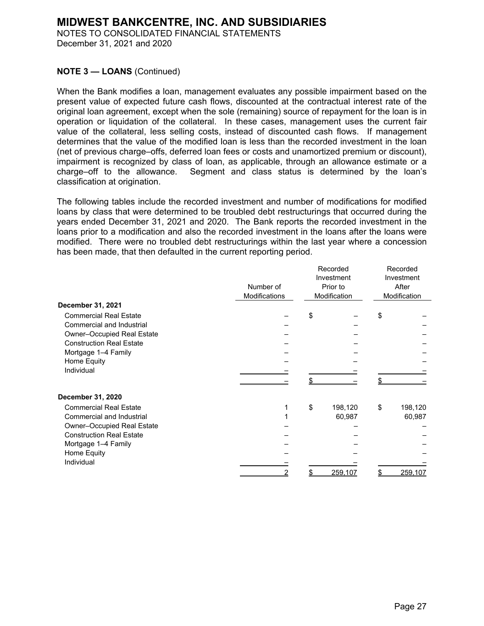NOTES TO CONSOLIDATED FINANCIAL STATEMENTS December 31, 2021 and 2020

### **NOTE 3 — LOANS** (Continued)

When the Bank modifies a loan, management evaluates any possible impairment based on the present value of expected future cash flows, discounted at the contractual interest rate of the original loan agreement, except when the sole (remaining) source of repayment for the loan is in operation or liquidation of the collateral. In these cases, management uses the current fair value of the collateral, less selling costs, instead of discounted cash flows. If management determines that the value of the modified loan is less than the recorded investment in the loan (net of previous charge–offs, deferred loan fees or costs and unamortized premium or discount), impairment is recognized by class of loan, as applicable, through an allowance estimate or a charge–off to the allowance. Segment and class status is determined by the loan's classification at origination.

The following tables include the recorded investment and number of modifications for modified loans by class that were determined to be troubled debt restructurings that occurred during the years ended December 31, 2021 and 2020. The Bank reports the recorded investment in the loans prior to a modification and also the recorded investment in the loans after the loans were modified. There were no troubled debt restructurings within the last year where a concession has been made, that then defaulted in the current reporting period.

|                                   | Number of<br>Modifications | Recorded<br>Investment<br>Prior to<br>Modification | Recorded<br>Investment<br>After<br>Modification |
|-----------------------------------|----------------------------|----------------------------------------------------|-------------------------------------------------|
| December 31, 2021                 |                            |                                                    |                                                 |
| <b>Commercial Real Estate</b>     |                            | \$                                                 | \$                                              |
| Commercial and Industrial         |                            |                                                    |                                                 |
| Owner-Occupied Real Estate        |                            |                                                    |                                                 |
| <b>Construction Real Estate</b>   |                            |                                                    |                                                 |
| Mortgage 1-4 Family               |                            |                                                    |                                                 |
| Home Equity                       |                            |                                                    |                                                 |
| Individual                        |                            |                                                    |                                                 |
|                                   |                            | \$                                                 |                                                 |
| <b>December 31, 2020</b>          |                            |                                                    |                                                 |
| <b>Commercial Real Estate</b>     |                            | \$<br>198,120                                      | \$<br>198,120                                   |
| Commercial and Industrial         |                            | 60,987                                             | 60,987                                          |
| <b>Owner-Occupied Real Estate</b> |                            |                                                    |                                                 |
| <b>Construction Real Estate</b>   |                            |                                                    |                                                 |
| Mortgage 1-4 Family               |                            |                                                    |                                                 |
| Home Equity                       |                            |                                                    |                                                 |
| Individual                        |                            |                                                    |                                                 |
|                                   |                            | 259,107                                            | \$<br>259,107                                   |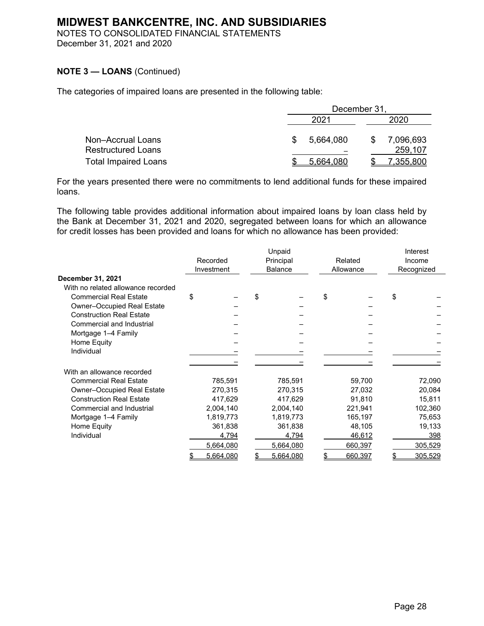NOTES TO CONSOLIDATED FINANCIAL STATEMENTS December 31, 2021 and 2020

## **NOTE 3 — LOANS** (Continued)

The categories of impaired loans are presented in the following table:

|                                                | December 31. |           |    |                      |
|------------------------------------------------|--------------|-----------|----|----------------------|
|                                                |              | 2021      |    | 2020                 |
| Non-Accrual Loans<br><b>Restructured Loans</b> |              | 5.664.080 | \$ | 7,096,693<br>259,107 |
| <b>Total Impaired Loans</b>                    |              | 5,664,080 |    | 355,800"             |

For the years presented there were no commitments to lend additional funds for these impaired loans.

The following table provides additional information about impaired loans by loan class held by the Bank at December 31, 2021 and 2020, segregated between loans for which an allowance for credit losses has been provided and loans for which no allowance has been provided:

|                                    |            | Unpaid          |           | Interest   |  |
|------------------------------------|------------|-----------------|-----------|------------|--|
|                                    | Recorded   | Principal       | Related   | Income     |  |
|                                    | Investment | <b>Balance</b>  | Allowance | Recognized |  |
| December 31, 2021                  |            |                 |           |            |  |
| With no related allowance recorded |            |                 |           |            |  |
| <b>Commercial Real Estate</b>      | \$         | \$              | \$        | \$         |  |
| <b>Owner-Occupied Real Estate</b>  |            |                 |           |            |  |
| <b>Construction Real Estate</b>    |            |                 |           |            |  |
| Commercial and Industrial          |            |                 |           |            |  |
| Mortgage 1-4 Family                |            |                 |           |            |  |
| Home Equity                        |            |                 |           |            |  |
| Individual                         |            |                 |           |            |  |
|                                    |            |                 |           |            |  |
| With an allowance recorded         |            |                 |           |            |  |
| <b>Commercial Real Estate</b>      | 785,591    | 785,591         | 59,700    | 72,090     |  |
| Owner-Occupied Real Estate         | 270,315    | 270,315         | 27,032    | 20,084     |  |
| <b>Construction Real Estate</b>    | 417,629    | 417,629         | 91,810    | 15,811     |  |
| Commercial and Industrial          | 2,004,140  | 2,004,140       | 221,941   | 102,360    |  |
| Mortgage 1-4 Family                | 1,819,773  | 1,819,773       | 165,197   | 75,653     |  |
| Home Equity                        | 361,838    | 361,838         | 48,105    | 19,133     |  |
| Individual                         | 4,794      | 4,794           | 46,612    | 398        |  |
|                                    | 5,664,080  | 5,664,080       | 660,397   | 305,529    |  |
|                                    | 5.664.080  | 5,664,080<br>\$ | 660,397   | 305,529    |  |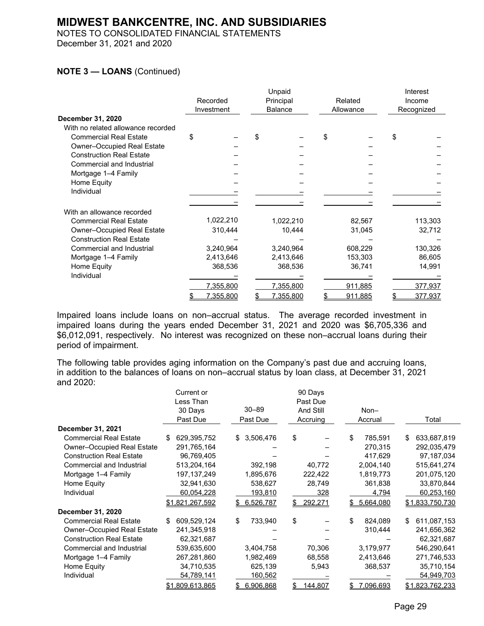NOTES TO CONSOLIDATED FINANCIAL STATEMENTS December 31, 2021 and 2020

## **NOTE 3 — LOANS** (Continued)

|                                    |            | Unpaid         |           | Interest   |  |
|------------------------------------|------------|----------------|-----------|------------|--|
|                                    | Recorded   | Principal      | Related   | Income     |  |
|                                    | Investment | <b>Balance</b> | Allowance | Recognized |  |
| December 31, 2020                  |            |                |           |            |  |
| With no related allowance recorded |            |                |           |            |  |
| <b>Commercial Real Estate</b>      | \$         | \$             | \$        | \$         |  |
| Owner-Occupied Real Estate         |            |                |           |            |  |
| <b>Construction Real Estate</b>    |            |                |           |            |  |
| Commercial and Industrial          |            |                |           |            |  |
| Mortgage 1-4 Family                |            |                |           |            |  |
| Home Equity                        |            |                |           |            |  |
| Individual                         |            |                |           |            |  |
|                                    |            |                |           |            |  |
| With an allowance recorded         |            |                |           |            |  |
| <b>Commercial Real Estate</b>      | 1,022,210  | 1,022,210      | 82,567    | 113,303    |  |
| <b>Owner-Occupied Real Estate</b>  | 310,444    | 10,444         | 31,045    | 32,712     |  |
| <b>Construction Real Estate</b>    |            |                |           |            |  |
| Commercial and Industrial          | 3,240,964  | 3,240,964      | 608,229   | 130,326    |  |
| Mortgage 1-4 Family                | 2,413,646  | 2,413,646      | 153,303   | 86,605     |  |
| Home Equity                        | 368,536    | 368,536        | 36,741    | 14,991     |  |
| Individual                         |            |                |           |            |  |
|                                    | 7,355,800  | 7,355,800      | 911,885   | 377,937    |  |
|                                    | 7.355.800  |                | 911.885   |            |  |
|                                    |            | 7,355,800      |           | 377,937    |  |

Impaired loans include loans on non–accrual status. The average recorded investment in impaired loans during the years ended December 31, 2021 and 2020 was \$6,705,336 and \$6,012,091, respectively. No interest was recognized on these non–accrual loans during their period of impairment.

The following table provides aging information on the Company's past due and accruing loans, in addition to the balances of loans on non–accrual status by loan class, at December 31, 2021 and 2020:

|                                   | Current or        |                 | 90 Days       |                 |                   |
|-----------------------------------|-------------------|-----------------|---------------|-----------------|-------------------|
|                                   | Less Than         |                 | Past Due      |                 |                   |
|                                   | 30 Days           | $30 - 89$       | And Still     | $Non-$          |                   |
|                                   | Past Due          | Past Due        | Accruing      | Accrual         | Total             |
| December 31, 2021                 |                   |                 |               |                 |                   |
| <b>Commercial Real Estate</b>     | 629,395,752<br>\$ | 3,506,476<br>\$ | \$            | \$<br>785,591   | \$<br>633,687,819 |
| Owner-Occupied Real Estate        | 291,765,164       |                 |               | 270,315         | 292,035,479       |
| <b>Construction Real Estate</b>   | 96,769,405        |                 |               | 417,629         | 97,187,034        |
| Commercial and Industrial         | 513,204,164       | 392,198         | 40,772        | 2,004,140       | 515,641,274       |
| Mortgage 1-4 Family               | 197, 137, 249     | 1,895,676       | 222,422       | 1,819,773       | 201,075,120       |
| Home Equity                       | 32,941,630        | 538,627         | 28,749        | 361,838         | 33,870,844        |
| Individual                        | 60,054,228        | 193,810         | 328           | 4,794           | 60,253,160        |
|                                   | \$1,821,267,592   | 6,526,787<br>\$ | 292,271<br>S. | 5,664,080<br>S. | \$1,833,750,730   |
| December 31, 2020                 |                   |                 |               |                 |                   |
| <b>Commercial Real Estate</b>     | \$<br>609,529,124 | \$<br>733,940   | \$            | \$<br>824,089   | \$<br>611,087,153 |
| <b>Owner-Occupied Real Estate</b> | 241,345,918       |                 |               | 310,444         | 241,656,362       |
| <b>Construction Real Estate</b>   | 62,321,687        |                 |               |                 | 62,321,687        |
| Commercial and Industrial         | 539,635,600       | 3,404,758       | 70,306        | 3,179,977       | 546,290,641       |
| Mortgage 1-4 Family               | 267,281,860       | 1,982,469       | 68,558        | 2,413,646       | 271,746,533       |
| Home Equity                       | 34,710,535        | 625,139         | 5,943         | 368,537         | 35,710,154        |
| Individual                        | 54,789,141        | 160,562         |               |                 | 54,949,703        |
|                                   | \$1,809,613,865   | 6,906,868       | 144,807       | 7,096,693<br>\$ | \$1,823,762,233   |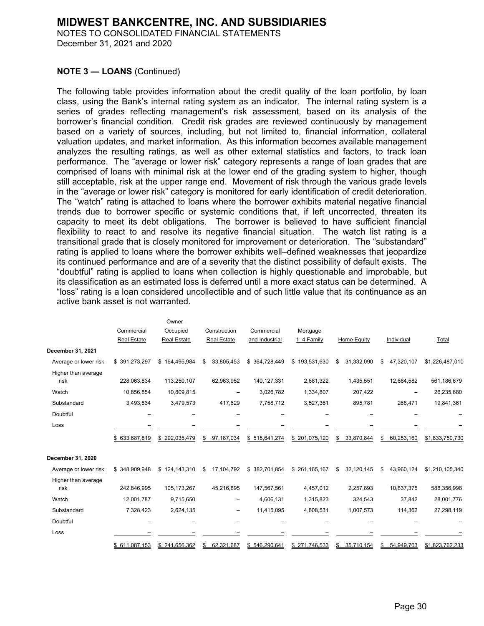NOTES TO CONSOLIDATED FINANCIAL STATEMENTS December 31, 2021 and 2020

### **NOTE 3 — LOANS** (Continued)

The following table provides information about the credit quality of the loan portfolio, by loan class, using the Bank's internal rating system as an indicator. The internal rating system is a series of grades reflecting management's risk assessment, based on its analysis of the borrower's financial condition. Credit risk grades are reviewed continuously by management based on a variety of sources, including, but not limited to, financial information, collateral valuation updates, and market information. As this information becomes available management analyzes the resulting ratings, as well as other external statistics and factors, to track loan performance. The "average or lower risk" category represents a range of loan grades that are comprised of loans with minimal risk at the lower end of the grading system to higher, though still acceptable, risk at the upper range end. Movement of risk through the various grade levels in the "average or lower risk" category is monitored for early identification of credit deterioration. The "watch" rating is attached to loans where the borrower exhibits material negative financial trends due to borrower specific or systemic conditions that, if left uncorrected, threaten its capacity to meet its debt obligations. The borrower is believed to have sufficient financial flexibility to react to and resolve its negative financial situation. The watch list rating is a transitional grade that is closely monitored for improvement or deterioration. The "substandard" rating is applied to loans where the borrower exhibits well–defined weaknesses that jeopardize its continued performance and are of a severity that the distinct possibility of default exists. The "doubtful" rating is applied to loans when collection is highly questionable and improbable, but its classification as an estimated loss is deferred until a more exact status can be determined. A "loss" rating is a loan considered uncollectible and of such little value that its continuance as an active bank asset is not warranted.

|                       |                    | Owner-             |                    |                |               |                  |                   |                 |
|-----------------------|--------------------|--------------------|--------------------|----------------|---------------|------------------|-------------------|-----------------|
|                       | Commercial         | Occupied           | Construction       | Commercial     | Mortgage      |                  |                   |                 |
|                       | <b>Real Estate</b> | <b>Real Estate</b> | <b>Real Estate</b> | and Industrial | 1-4 Family    | Home Equity      | Individual        | Total           |
| December 31, 2021     |                    |                    |                    |                |               |                  |                   |                 |
| Average or lower risk | \$391,273,297      | \$164,495,984      | 33,805,453<br>S    | \$364,728,449  | \$193,531,630 | 31,332,090<br>\$ | \$<br>47,320,107  | \$1,226,487,010 |
| Higher than average   |                    |                    |                    |                |               |                  |                   |                 |
| risk                  | 228,063,834        | 113,250,107        | 62,963,952         | 140,127,331    | 2,681,322     | 1,435,551        | 12,664,582        | 561,186,679     |
| Watch                 | 10,856,854         | 10,809,815         |                    | 3,026,782      | 1,334,807     | 207,422          |                   | 26,235,680      |
| Substandard           | 3,493,834          | 3,479,573          | 417,629            | 7,758,712      | 3,527,361     | 895,781          | 268,471           | 19,841,361      |
| Doubtful              |                    |                    |                    |                |               |                  |                   |                 |
| Loss                  |                    |                    |                    |                |               |                  |                   |                 |
|                       | \$633.687.819      | \$292,035,479      | 97.187.034<br>\$   | \$515.641.274  | \$201,075,120 | 33.870.844<br>\$ | \$.<br>60.253.160 | \$1.833.750.730 |
| December 31, 2020     |                    |                    |                    |                |               |                  |                   |                 |
| Average or lower risk | \$348,909,948      | \$124,143,310      | 17,104,792<br>\$   | \$382,701,854  | \$261,165,167 | \$<br>32,120,145 | 43,960,124<br>\$  | \$1,210,105,340 |
| Higher than average   |                    |                    |                    |                |               |                  |                   |                 |
| risk                  | 242,846,995        | 105,173,267        | 45,216,895         | 147,567,561    | 4,457,012     | 2,257,893        | 10,837,375        | 588,356,998     |
| Watch                 | 12,001,787         | 9,715,650          |                    | 4,606,131      | 1,315,823     | 324,543          | 37,842            | 28,001,776      |
| Substandard           | 7,328,423          | 2,624,135          | -                  | 11,415,095     | 4,808,531     | 1,007,573        | 114,362           | 27,298,119      |
| Doubtful              |                    |                    |                    |                |               |                  |                   |                 |
| Loss                  |                    |                    |                    |                |               |                  |                   |                 |
|                       | \$611.087.153      | \$241,656,362      | 62,321,687<br>S    | \$546.290.641  | \$271,746,533 | 35.710.154<br>S  | 54.949.703<br>S   | \$1.823.762.233 |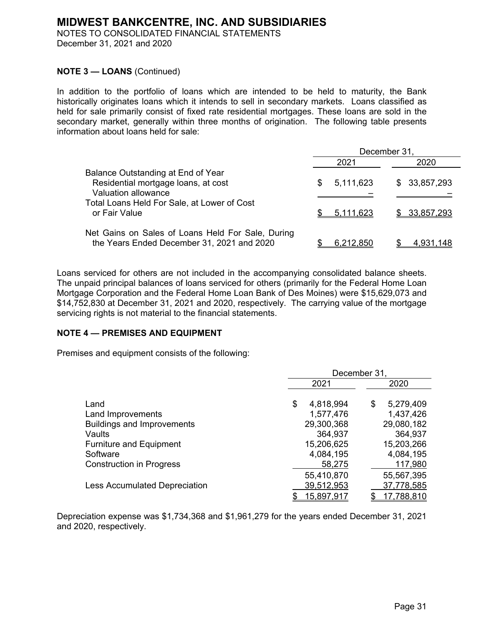NOTES TO CONSOLIDATED FINANCIAL STATEMENTS December 31, 2021 and 2020

### **NOTE 3 — LOANS** (Continued)

In addition to the portfolio of loans which are intended to be held to maturity, the Bank historically originates loans which it intends to sell in secondary markets. Loans classified as held for sale primarily consist of fixed rate residential mortgages. These loans are sold in the secondary market, generally within three months of origination. The following table presents information about loans held for sale:

|                                                                                                  | December 31    |                   |  |  |
|--------------------------------------------------------------------------------------------------|----------------|-------------------|--|--|
|                                                                                                  | 2021           | 2020              |  |  |
| Balance Outstanding at End of Year<br>Residential mortgage loans, at cost<br>Valuation allowance | 5,111,623<br>S | 33,857,293<br>\$. |  |  |
| Total Loans Held For Sale, at Lower of Cost<br>or Fair Value                                     | 5,111,623      | 33,857,293<br>\$. |  |  |
| Net Gains on Sales of Loans Held For Sale, During<br>the Years Ended December 31, 2021 and 2020  | 6,212,850      | 4 931<br>.148     |  |  |

Loans serviced for others are not included in the accompanying consolidated balance sheets. The unpaid principal balances of loans serviced for others (primarily for the Federal Home Loan Mortgage Corporation and the Federal Home Loan Bank of Des Moines) were \$15,629,073 and \$14,752,830 at December 31, 2021 and 2020, respectively. The carrying value of the mortgage servicing rights is not material to the financial statements.

### **NOTE 4 — PREMISES AND EQUIPMENT**

Premises and equipment consists of the following:

|                                      | December 31. |                   |    |            |
|--------------------------------------|--------------|-------------------|----|------------|
|                                      |              | 2021              |    | 2020       |
| Land                                 | \$           | 4,818,994         | \$ | 5,279,409  |
| Land Improvements                    |              | 1,577,476         |    | 1,437,426  |
| <b>Buildings and Improvements</b>    |              | 29,300,368        |    | 29,080,182 |
| Vaults                               |              | 364,937           |    | 364,937    |
| <b>Furniture and Equipment</b>       |              | 15,206,625        |    | 15,203,266 |
| Software                             |              | 4,084,195         |    | 4,084,195  |
| <b>Construction in Progress</b>      |              | 58,275            |    | 117,980    |
|                                      |              | 55,410,870        |    | 55,567,395 |
| <b>Less Accumulated Depreciation</b> |              | <u>39,512,953</u> |    | 37,778,585 |
|                                      |              | 15,897,917        |    | 17,788,810 |

Depreciation expense was \$1,734,368 and \$1,961,279 for the years ended December 31, 2021 and 2020, respectively.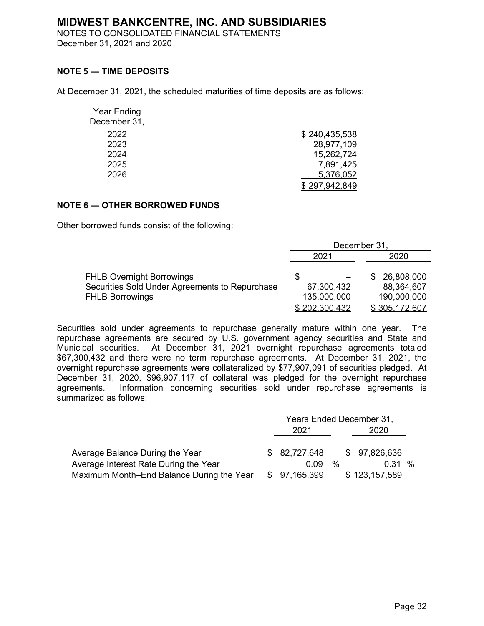NOTES TO CONSOLIDATED FINANCIAL STATEMENTS December 31, 2021 and 2020

### **NOTE 5 — TIME DEPOSITS**

At December 31, 2021, the scheduled maturities of time deposits are as follows:

| Year Ending  |               |
|--------------|---------------|
| December 31, |               |
| 2022         | \$240,435,538 |
| 2023         | 28,977,109    |
| 2024         | 15,262,724    |
| 2025         | 7,891,425     |
| 2026         | 5,376,052     |
|              | \$297,942,849 |

### **NOTE 6 — OTHER BORROWED FUNDS**

Other borrowed funds consist of the following:

|                                                                                    | December 31.     |                               |  |  |
|------------------------------------------------------------------------------------|------------------|-------------------------------|--|--|
|                                                                                    | 2021             | 2020                          |  |  |
| <b>FHLB Overnight Borrowings</b><br>Securities Sold Under Agreements to Repurchase | \$<br>67,300,432 | 26,808,000<br>S<br>88,364,607 |  |  |
| <b>FHLB Borrowings</b>                                                             | 135,000,000      | 190,000,000                   |  |  |
|                                                                                    | \$202,300,432    | \$305,172,607                 |  |  |

Securities sold under agreements to repurchase generally mature within one year. The repurchase agreements are secured by U.S. government agency securities and State and Municipal securities. At December 31, 2021 overnight repurchase agreements totaled \$67,300,432 and there were no term repurchase agreements. At December 31, 2021, the overnight repurchase agreements were collateralized by \$77,907,091 of securities pledged. At December 31, 2020, \$96,907,117 of collateral was pledged for the overnight repurchase agreements. Information concerning securities sold under repurchase agreements is summarized as follows:

|                                           | Years Ended December 31, |   |  |               |  |
|-------------------------------------------|--------------------------|---|--|---------------|--|
|                                           | 2021                     |   |  | 2020          |  |
| Average Balance During the Year           | \$82,727,648             |   |  | \$97,826,636  |  |
| Average Interest Rate During the Year     | 0.09                     | % |  | $0.31 \%$     |  |
| Maximum Month-End Balance During the Year | \$97,165,399             |   |  | \$123,157,589 |  |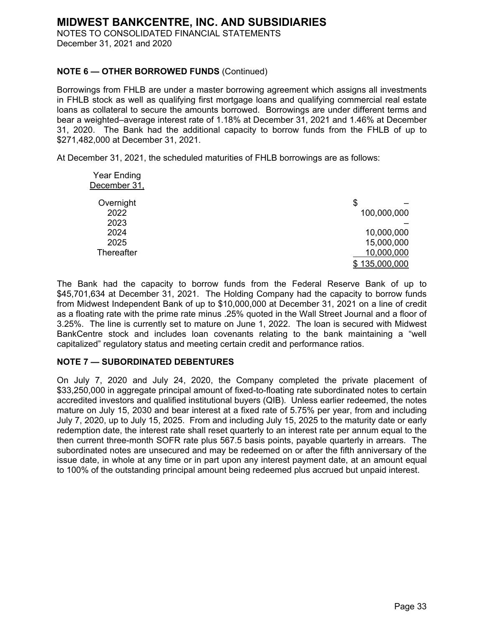NOTES TO CONSOLIDATED FINANCIAL STATEMENTS December 31, 2021 and 2020

## **NOTE 6 — OTHER BORROWED FUNDS** (Continued)

Borrowings from FHLB are under a master borrowing agreement which assigns all investments in FHLB stock as well as qualifying first mortgage loans and qualifying commercial real estate loans as collateral to secure the amounts borrowed. Borrowings are under different terms and bear a weighted–average interest rate of 1.18% at December 31, 2021 and 1.46% at December 31, 2020. The Bank had the additional capacity to borrow funds from the FHLB of up to \$271,482,000 at December 31, 2021.

At December 31, 2021, the scheduled maturities of FHLB borrowings are as follows:

| <b>Year Ending</b><br>December 31, |               |
|------------------------------------|---------------|
| Overnight                          | \$            |
| 2022                               | 100,000,000   |
| 2023                               |               |
| 2024                               | 10,000,000    |
| 2025                               | 15,000,000    |
| Thereafter                         | 10,000,000    |
|                                    | \$135,000,000 |

The Bank had the capacity to borrow funds from the Federal Reserve Bank of up to \$45,701,634 at December 31, 2021. The Holding Company had the capacity to borrow funds from Midwest Independent Bank of up to \$10,000,000 at December 31, 2021 on a line of credit as a floating rate with the prime rate minus .25% quoted in the Wall Street Journal and a floor of 3.25%. The line is currently set to mature on June 1, 2022. The loan is secured with Midwest BankCentre stock and includes loan covenants relating to the bank maintaining a "well capitalized" regulatory status and meeting certain credit and performance ratios.

### **NOTE 7 — SUBORDINATED DEBENTURES**

On July 7, 2020 and July 24, 2020, the Company completed the private placement of \$33,250,000 in aggregate principal amount of fixed-to-floating rate subordinated notes to certain accredited investors and qualified institutional buyers (QIB). Unless earlier redeemed, the notes mature on July 15, 2030 and bear interest at a fixed rate of 5.75% per year, from and including July 7, 2020, up to July 15, 2025. From and including July 15, 2025 to the maturity date or early redemption date, the interest rate shall reset quarterly to an interest rate per annum equal to the then current three-month SOFR rate plus 567.5 basis points, payable quarterly in arrears. The subordinated notes are unsecured and may be redeemed on or after the fifth anniversary of the issue date, in whole at any time or in part upon any interest payment date, at an amount equal to 100% of the outstanding principal amount being redeemed plus accrued but unpaid interest.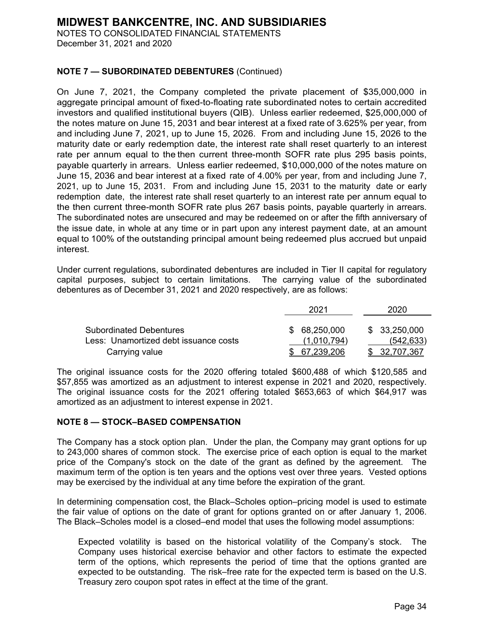NOTES TO CONSOLIDATED FINANCIAL STATEMENTS December 31, 2021 and 2020

# **NOTE 7 — SUBORDINATED DEBENTURES** (Continued)

On June 7, 2021, the Company completed the private placement of \$35,000,000 in aggregate principal amount of fixed-to-floating rate subordinated notes to certain accredited investors and qualified institutional buyers (QIB). Unless earlier redeemed, \$25,000,000 of the notes mature on June 15, 2031 and bear interest at a fixed rate of 3.625% per year, from and including June 7, 2021, up to June 15, 2026. From and including June 15, 2026 to the maturity date or early redemption date, the interest rate shall reset quarterly to an interest rate per annum equal to the then current three-month SOFR rate plus 295 basis points, payable quarterly in arrears. Unless earlier redeemed, \$10,000,000 of the notes mature on June 15, 2036 and bear interest at a fixed rate of 4.00% per year, from and including June 7, 2021, up to June 15, 2031. From and including June 15, 2031 to the maturity date or early redemption date, the interest rate shall reset quarterly to an interest rate per annum equal to the then current three-month SOFR rate plus 267 basis points, payable quarterly in arrears. The subordinated notes are unsecured and may be redeemed on or after the fifth anniversary of the issue date, in whole at any time or in part upon any interest payment date, at an amount equal to 100% of the outstanding principal amount being redeemed plus accrued but unpaid interest.

Under current regulations, subordinated debentures are included in Tier II capital for regulatory capital purposes, subject to certain limitations. The carrying value of the subordinated debentures as of December 31, 2021 and 2020 respectively, are as follows:

|                                                                         | 2021 |                             | 2020 |                            |
|-------------------------------------------------------------------------|------|-----------------------------|------|----------------------------|
| <b>Subordinated Debentures</b><br>Less: Unamortized debt issuance costs |      | \$68,250,000<br>(1,010,794) |      | \$33,250,000<br>(542, 633) |
| Carrying value                                                          |      | 67.239.206                  |      | 32,707,367                 |

The original issuance costs for the 2020 offering totaled \$600,488 of which \$120,585 and \$57,855 was amortized as an adjustment to interest expense in 2021 and 2020, respectively. The original issuance costs for the 2021 offering totaled \$653,663 of which \$64,917 was amortized as an adjustment to interest expense in 2021.

### **NOTE 8 — STOCK–BASED COMPENSATION**

The Company has a stock option plan. Under the plan, the Company may grant options for up to 243,000 shares of common stock. The exercise price of each option is equal to the market price of the Company's stock on the date of the grant as defined by the agreement. The maximum term of the option is ten years and the options vest over three years. Vested options may be exercised by the individual at any time before the expiration of the grant.

In determining compensation cost, the Black–Scholes option–pricing model is used to estimate the fair value of options on the date of grant for options granted on or after January 1, 2006. The Black–Scholes model is a closed–end model that uses the following model assumptions:

Expected volatility is based on the historical volatility of the Company's stock. The Company uses historical exercise behavior and other factors to estimate the expected term of the options, which represents the period of time that the options granted are expected to be outstanding. The risk–free rate for the expected term is based on the U.S. Treasury zero coupon spot rates in effect at the time of the grant.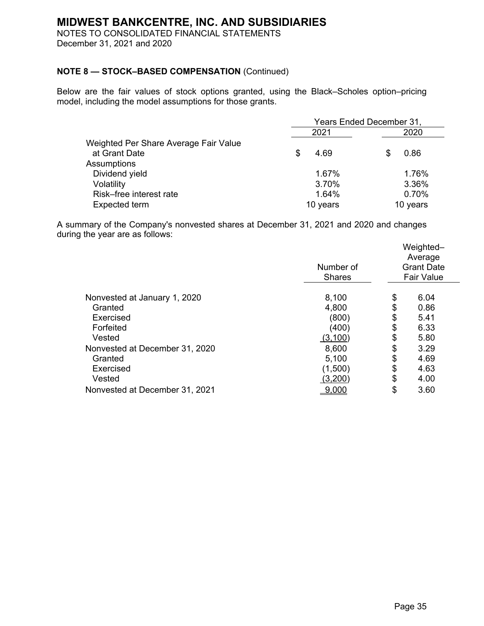NOTES TO CONSOLIDATED FINANCIAL STATEMENTS December 31, 2021 and 2020

### **NOTE 8 — STOCK–BASED COMPENSATION** (Continued)

Below are the fair values of stock options granted, using the Black–Scholes option–pricing model, including the model assumptions for those grants.

|                                       | Years Ended December 31. |          |  |  |
|---------------------------------------|--------------------------|----------|--|--|
|                                       | 2021                     | 2020     |  |  |
| Weighted Per Share Average Fair Value |                          |          |  |  |
| at Grant Date                         | \$<br>4.69               | 0.86     |  |  |
| Assumptions                           |                          |          |  |  |
| Dividend yield                        | 1.67%                    | 1.76%    |  |  |
| Volatility                            | 3.70%                    | 3.36%    |  |  |
| Risk-free interest rate               | 1.64%                    | 0.70%    |  |  |
| Expected term                         | 10 years                 | 10 years |  |  |

A summary of the Company's nonvested shares at December 31, 2021 and 2020 and changes during the year are as follows:

|                                | Number of<br><b>Shares</b> | Weighted-<br>Average<br><b>Grant Date</b><br><b>Fair Value</b> |
|--------------------------------|----------------------------|----------------------------------------------------------------|
| Nonvested at January 1, 2020   | 8,100                      | \$<br>6.04                                                     |
| Granted                        | 4,800                      | \$<br>0.86                                                     |
| Exercised                      | (800)                      | \$<br>5.41                                                     |
| Forfeited                      | (400)                      | \$<br>6.33                                                     |
| Vested                         | (3, 100)                   | \$<br>5.80                                                     |
| Nonvested at December 31, 2020 | 8,600                      | \$<br>3.29                                                     |
| Granted                        | 5,100                      | \$<br>4.69                                                     |
| Exercised                      | (1,500)                    | \$<br>4.63                                                     |
| Vested                         | (3,200)                    | \$<br>4.00                                                     |
| Nonvested at December 31, 2021 | 9,000                      | \$<br>3.60                                                     |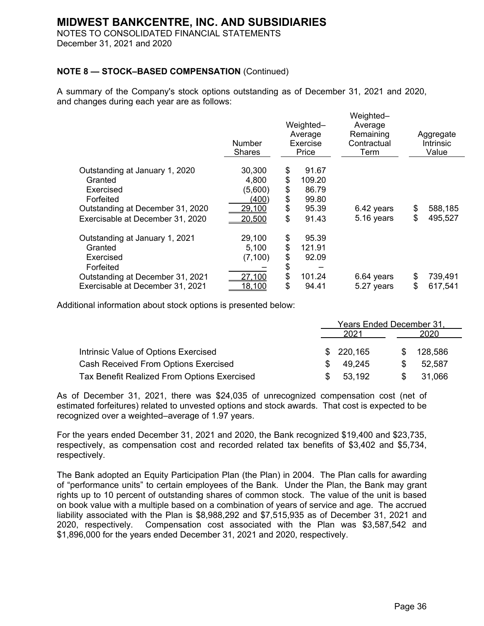NOTES TO CONSOLIDATED FINANCIAL STATEMENTS December 31, 2021 and 2020

## **NOTE 8 — STOCK–BASED COMPENSATION** (Continued)

A summary of the Company's stock options outstanding as of December 31, 2021 and 2020, and changes during each year are as follows:

|                                                                                                                                             | Number<br>Shares                                                |                                  | Weighted-<br>Average<br>Exercise<br>Price           | Weighted-<br>Average<br>Remaining<br>Contractual<br>Term |          | Aggregate<br>Intrinsic<br>Value |  |
|---------------------------------------------------------------------------------------------------------------------------------------------|-----------------------------------------------------------------|----------------------------------|-----------------------------------------------------|----------------------------------------------------------|----------|---------------------------------|--|
| Outstanding at January 1, 2020<br>Granted<br>Exercised<br>Forfeited<br>Outstanding at December 31, 2020<br>Exercisable at December 31, 2020 | 30,300<br>4,800<br>(5,600)<br>(400)<br>29.100<br><u> 20,500</u> | \$<br>\$<br>\$<br>\$<br>\$<br>\$ | 91.67<br>109.20<br>86.79<br>99.80<br>95.39<br>91.43 | 6.42 years<br>5.16 years                                 | \$<br>\$ | 588,185<br>495,527              |  |
| Outstanding at January 1, 2021<br>Granted<br>Exercised<br>Forfeited<br>Outstanding at December 31, 2021<br>Exercisable at December 31, 2021 | 29,100<br>5,100<br>(7, 100)<br>27,100<br>18.100                 | \$<br>\$<br>\$<br>\$<br>\$<br>\$ | 95.39<br>121.91<br>92.09<br>101.24<br>94.41         | 6.64 years<br>5.27 years                                 | \$<br>\$ | 739,491<br>617,541              |  |

Additional information about stock options is presented below:

|                                                    | Years Ended December 31. |         |  |         |
|----------------------------------------------------|--------------------------|---------|--|---------|
|                                                    |                          | 2021    |  | 2020    |
| Intrinsic Value of Options Exercised               | \$.                      | 220,165 |  | 128,586 |
| <b>Cash Received From Options Exercised</b>        |                          | 49.245  |  | 52.587  |
| <b>Tax Benefit Realized From Options Exercised</b> |                          | 53,192  |  | 31,066  |

As of December 31, 2021, there was \$24,035 of unrecognized compensation cost (net of estimated forfeitures) related to unvested options and stock awards. That cost is expected to be recognized over a weighted–average of 1.97 years.

For the years ended December 31, 2021 and 2020, the Bank recognized \$19,400 and \$23,735, respectively, as compensation cost and recorded related tax benefits of \$3,402 and \$5,734, respectively.

The Bank adopted an Equity Participation Plan (the Plan) in 2004. The Plan calls for awarding of "performance units" to certain employees of the Bank. Under the Plan, the Bank may grant rights up to 10 percent of outstanding shares of common stock. The value of the unit is based on book value with a multiple based on a combination of years of service and age. The accrued liability associated with the Plan is \$8,988,292 and \$7,515,935 as of December 31, 2021 and 2020, respectively. Compensation cost associated with the Plan was \$3,587,542 and \$1,896,000 for the years ended December 31, 2021 and 2020, respectively.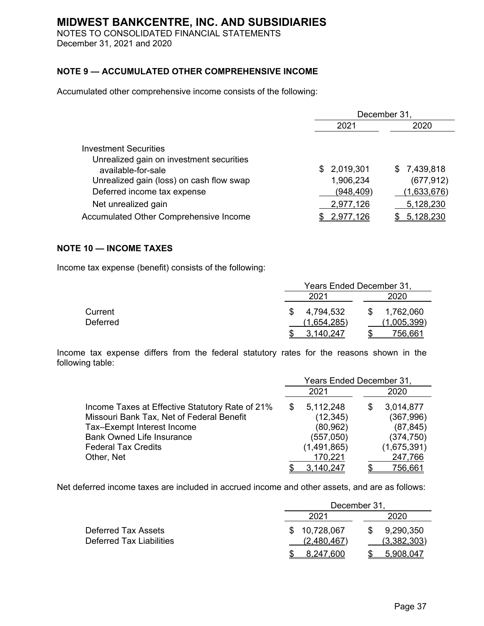NOTES TO CONSOLIDATED FINANCIAL STATEMENTS December 31, 2021 and 2020

# **NOTE 9 — ACCUMULATED OTHER COMPREHENSIVE INCOME**

Accumulated other comprehensive income consists of the following:

|                                          | December 31, |             |  |  |
|------------------------------------------|--------------|-------------|--|--|
|                                          | 2021         | 2020        |  |  |
|                                          |              |             |  |  |
| <b>Investment Securities</b>             |              |             |  |  |
| Unrealized gain on investment securities |              |             |  |  |
| available-for-sale                       | \$2,019,301  | \$7,439,818 |  |  |
| Unrealized gain (loss) on cash flow swap | 1,906,234    | (677, 912)  |  |  |
| Deferred income tax expense              | (948, 409)   | (1,633,676) |  |  |
| Net unrealized gain                      | 2,977,126    | 5,128,230   |  |  |
| Accumulated Other Comprehensive Income   | 2,977,126    | 5,128,230   |  |  |

### **NOTE 10 — INCOME TAXES**

Income tax expense (benefit) consists of the following:

|                     |  | Years Ended December 31, |      |                          |  |
|---------------------|--|--------------------------|------|--------------------------|--|
| 2021                |  |                          | 2020 |                          |  |
| Current<br>Deferred |  | 4,794,532<br>(1,654,285) |      | 1,762,060<br>(1,005,399) |  |
|                     |  | -247                     |      | 756.661                  |  |

Income tax expense differs from the federal statutory rates for the reasons shown in the following table:

|                                                 | Years Ended December 31, |             |   |             |
|-------------------------------------------------|--------------------------|-------------|---|-------------|
|                                                 |                          | 2021        |   | 2020        |
| Income Taxes at Effective Statutory Rate of 21% | \$.                      | 5,112,248   | Ъ | 3,014,877   |
| Missouri Bank Tax, Net of Federal Benefit       |                          | (12, 345)   |   | (367, 996)  |
| Tax-Exempt Interest Income                      |                          | (80, 962)   |   | (87, 845)   |
| <b>Bank Owned Life Insurance</b>                |                          | (557, 050)  |   | (374, 750)  |
| <b>Federal Tax Credits</b>                      |                          | (1,491,865) |   | (1,675,391) |
| Other, Net                                      |                          | 170,221     |   | 247,766     |
|                                                 |                          | 3,140,247   |   | 756,661     |

Net deferred income taxes are included in accrued income and other assets, and are as follows:

|                          | December 31. |     |             |  |  |
|--------------------------|--------------|-----|-------------|--|--|
|                          | 2021         |     | 2020        |  |  |
| Deferred Tax Assets      | \$10,728,067 | -SS | 9.290.350   |  |  |
| Deferred Tax Liabilities | (2,480,467)  |     | (3,382,303) |  |  |
|                          | 8.247.600    |     | 5.908.047   |  |  |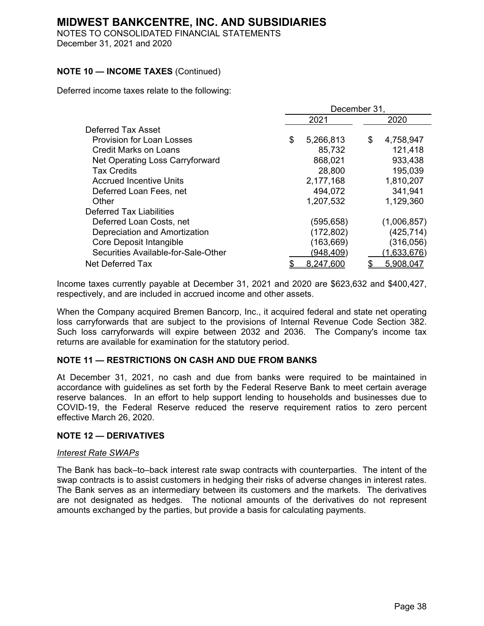NOTES TO CONSOLIDATED FINANCIAL STATEMENTS December 31, 2021 and 2020

## **NOTE 10 — INCOME TAXES** (Continued)

Deferred income taxes relate to the following:

|                                     | December 31, |                  |    |                    |
|-------------------------------------|--------------|------------------|----|--------------------|
|                                     |              | 2021             |    | 2020               |
| Deferred Tax Asset                  |              |                  |    |                    |
| Provision for Loan Losses           | \$           | 5,266,813        | \$ | 4,758,947          |
| <b>Credit Marks on Loans</b>        |              | 85,732           |    | 121,418            |
| Net Operating Loss Carryforward     |              | 868,021          |    | 933,438            |
| <b>Tax Credits</b>                  |              | 28,800           |    | 195,039            |
| <b>Accrued Incentive Units</b>      |              | 2,177,168        |    | 1,810,207          |
| Deferred Loan Fees, net             |              | 494,072          |    | 341,941            |
| Other                               |              | 1,207,532        |    | 1,129,360          |
| <b>Deferred Tax Liabilities</b>     |              |                  |    |                    |
| Deferred Loan Costs, net            |              | (595,658)        |    | (1,006,857)        |
| Depreciation and Amortization       |              | (172,802)        |    | (425, 714)         |
| Core Deposit Intangible             |              | (163,669)        |    | (316,056)          |
| Securities Available-for-Sale-Other |              | <u>(948,409)</u> |    | <u> 1,633,676)</u> |
| Net Deferred Tax                    |              | 8,247,600        |    | 5,908,047          |

Income taxes currently payable at December 31, 2021 and 2020 are \$623,632 and \$400,427, respectively, and are included in accrued income and other assets.

When the Company acquired Bremen Bancorp, Inc., it acquired federal and state net operating loss carryforwards that are subject to the provisions of Internal Revenue Code Section 382. Such loss carryforwards will expire between 2032 and 2036. The Company's income tax returns are available for examination for the statutory period.

### **NOTE 11 — RESTRICTIONS ON CASH AND DUE FROM BANKS**

At December 31, 2021, no cash and due from banks were required to be maintained in accordance with guidelines as set forth by the Federal Reserve Bank to meet certain average reserve balances. In an effort to help support lending to households and businesses due to COVID-19, the Federal Reserve reduced the reserve requirement ratios to zero percent effective March 26, 2020.

### **NOTE 12 — DERIVATIVES**

#### *Interest Rate SWAPs*

The Bank has back–to–back interest rate swap contracts with counterparties. The intent of the swap contracts is to assist customers in hedging their risks of adverse changes in interest rates. The Bank serves as an intermediary between its customers and the markets. The derivatives are not designated as hedges. The notional amounts of the derivatives do not represent amounts exchanged by the parties, but provide a basis for calculating payments.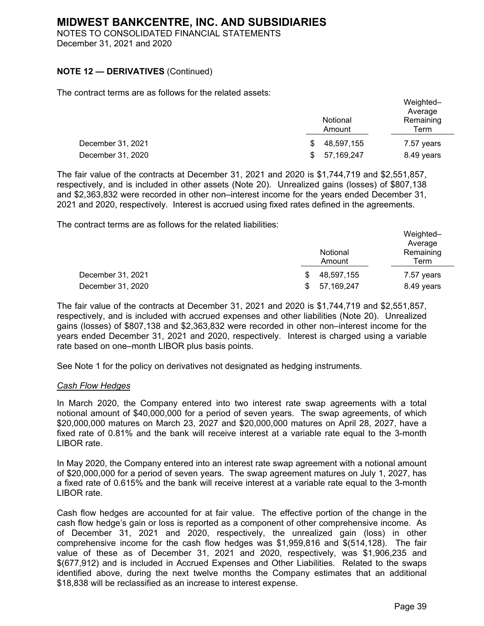NOTES TO CONSOLIDATED FINANCIAL STATEMENTS December 31, 2021 and 2020

### **NOTE 12 — DERIVATIVES** (Continued)

The contract terms are as follows for the related assets:

|                   |                    | Weighted-<br>Average |
|-------------------|--------------------|----------------------|
|                   | Notional<br>Amount |                      |
| December 31, 2021 | 48,597,155         | 7.57 years           |
| December 31, 2020 | 57,169,247         | 8.49 years           |

The fair value of the contracts at December 31, 2021 and 2020 is \$1,744,719 and \$2,551,857, respectively, and is included in other assets (Note 20). Unrealized gains (losses) of \$807,138 and \$2,363,832 were recorded in other non–interest income for the years ended December 31, 2021 and 2020, respectively. Interest is accrued using fixed rates defined in the agreements.

The contract terms are as follows for the related liabilities:

|                   |    | Notional<br>Amount | Weighted-<br>Average<br>Remaining<br>Term |
|-------------------|----|--------------------|-------------------------------------------|
| December 31, 2021 | S. | 48,597,155         | 7.57 years                                |
| December 31, 2020 | \$ | 57,169,247         | 8.49 years                                |

The fair value of the contracts at December 31, 2021 and 2020 is \$1,744,719 and \$2,551,857, respectively, and is included with accrued expenses and other liabilities (Note 20). Unrealized gains (losses) of \$807,138 and \$2,363,832 were recorded in other non–interest income for the years ended December 31, 2021 and 2020, respectively. Interest is charged using a variable rate based on one–month LIBOR plus basis points.

See Note 1 for the policy on derivatives not designated as hedging instruments.

#### *Cash Flow Hedges*

In March 2020, the Company entered into two interest rate swap agreements with a total notional amount of \$40,000,000 for a period of seven years. The swap agreements, of which \$20,000,000 matures on March 23, 2027 and \$20,000,000 matures on April 28, 2027, have a fixed rate of 0.81% and the bank will receive interest at a variable rate equal to the 3-month LIBOR rate.

In May 2020, the Company entered into an interest rate swap agreement with a notional amount of \$20,000,000 for a period of seven years. The swap agreement matures on July 1, 2027, has a fixed rate of 0.615% and the bank will receive interest at a variable rate equal to the 3-month LIBOR rate.

Cash flow hedges are accounted for at fair value. The effective portion of the change in the cash flow hedge's gain or loss is reported as a component of other comprehensive income. As of December 31, 2021 and 2020, respectively, the unrealized gain (loss) in other comprehensive income for the cash flow hedges was \$1,959,816 and \$(514,128). The fair value of these as of December 31, 2021 and 2020, respectively, was \$1,906,235 and \$(677,912) and is included in Accrued Expenses and Other Liabilities. Related to the swaps identified above, during the next twelve months the Company estimates that an additional \$18,838 will be reclassified as an increase to interest expense.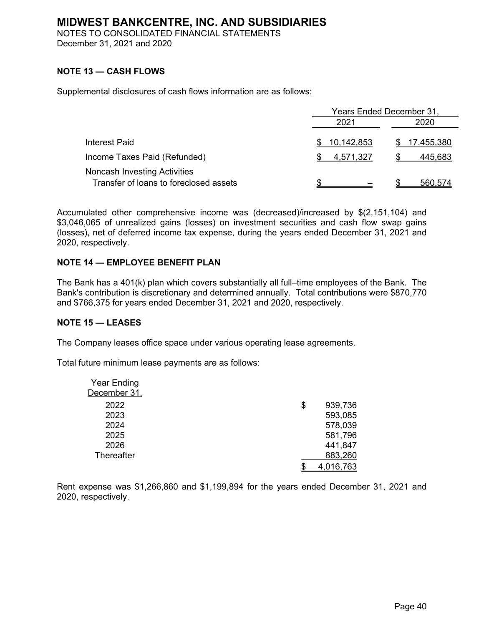NOTES TO CONSOLIDATED FINANCIAL STATEMENTS December 31, 2021 and 2020

# **NOTE 13 — CASH FLOWS**

Supplemental disclosures of cash flows information are as follows:

|                                        |            | Years Ended December 31, |  |  |  |
|----------------------------------------|------------|--------------------------|--|--|--|
|                                        | 2021       | 2020                     |  |  |  |
|                                        |            |                          |  |  |  |
| Interest Paid                          | 10,142,853 | <u>17,455,380</u>        |  |  |  |
| Income Taxes Paid (Refunded)           | 4.571.327  | 445,683                  |  |  |  |
| Noncash Investing Activities           |            |                          |  |  |  |
| Transfer of loans to foreclosed assets |            | 560.574                  |  |  |  |

Accumulated other comprehensive income was (decreased)/increased by \$(2,151,104) and \$3,046,065 of unrealized gains (losses) on investment securities and cash flow swap gains (losses), net of deferred income tax expense, during the years ended December 31, 2021 and 2020, respectively.

### **NOTE 14 — EMPLOYEE BENEFIT PLAN**

The Bank has a 401(k) plan which covers substantially all full–time employees of the Bank. The Bank's contribution is discretionary and determined annually. Total contributions were \$870,770 and \$766,375 for years ended December 31, 2021 and 2020, respectively.

### **NOTE 15 — LEASES**

The Company leases office space under various operating lease agreements.

Total future minimum lease payments are as follows:

| <b>Year Ending</b> |               |
|--------------------|---------------|
| December 31,       |               |
| 2022               | \$<br>939,736 |
| 2023               | 593,085       |
| 2024               | 578,039       |
| 2025               | 581,796       |
| 2026               | 441,847       |
| Thereafter         | 883,260       |
|                    | 4,016,763     |

Rent expense was \$1,266,860 and \$1,199,894 for the years ended December 31, 2021 and 2020, respectively.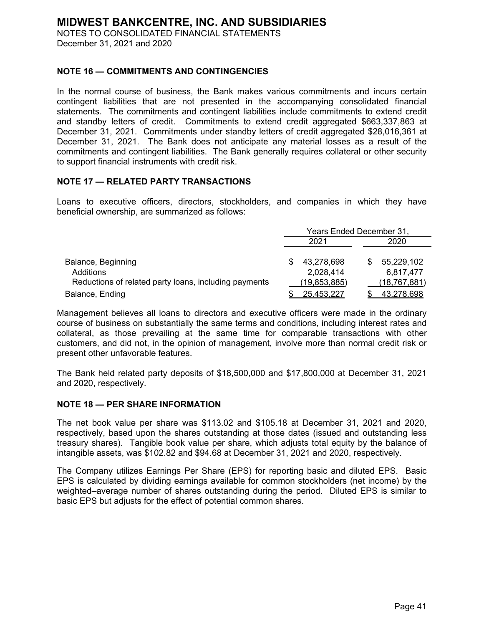NOTES TO CONSOLIDATED FINANCIAL STATEMENTS December 31, 2021 and 2020

### **NOTE 16 — COMMITMENTS AND CONTINGENCIES**

In the normal course of business, the Bank makes various commitments and incurs certain contingent liabilities that are not presented in the accompanying consolidated financial statements. The commitments and contingent liabilities include commitments to extend credit and standby letters of credit. Commitments to extend credit aggregated \$663,337,863 at December 31, 2021. Commitments under standby letters of credit aggregated \$28,016,361 at December 31, 2021. The Bank does not anticipate any material losses as a result of the commitments and contingent liabilities. The Bank generally requires collateral or other security to support financial instruments with credit risk.

### **NOTE 17 — RELATED PARTY TRANSACTIONS**

Loans to executive officers, directors, stockholders, and companies in which they have beneficial ownership, are summarized as follows:

|                                                       | Years Ended December 31, |                |  |              |
|-------------------------------------------------------|--------------------------|----------------|--|--------------|
|                                                       | 2021                     |                |  | 2020         |
|                                                       |                          |                |  |              |
| Balance, Beginning                                    |                          | 43,278,698     |  | 55,229,102   |
| Additions                                             |                          | 2,028,414      |  | 6,817,477    |
| Reductions of related party loans, including payments |                          | (19, 853, 885) |  | (18,767,881) |
| Balance, Ending                                       |                          | 25,453,227     |  | 43,278,698   |

Management believes all loans to directors and executive officers were made in the ordinary course of business on substantially the same terms and conditions, including interest rates and collateral, as those prevailing at the same time for comparable transactions with other customers, and did not, in the opinion of management, involve more than normal credit risk or present other unfavorable features.

The Bank held related party deposits of \$18,500,000 and \$17,800,000 at December 31, 2021 and 2020, respectively.

### **NOTE 18 — PER SHARE INFORMATION**

The net book value per share was \$113.02 and \$105.18 at December 31, 2021 and 2020, respectively, based upon the shares outstanding at those dates (issued and outstanding less treasury shares). Tangible book value per share, which adjusts total equity by the balance of intangible assets, was \$102.82 and \$94.68 at December 31, 2021 and 2020, respectively.

The Company utilizes Earnings Per Share (EPS) for reporting basic and diluted EPS. Basic EPS is calculated by dividing earnings available for common stockholders (net income) by the weighted–average number of shares outstanding during the period. Diluted EPS is similar to basic EPS but adjusts for the effect of potential common shares.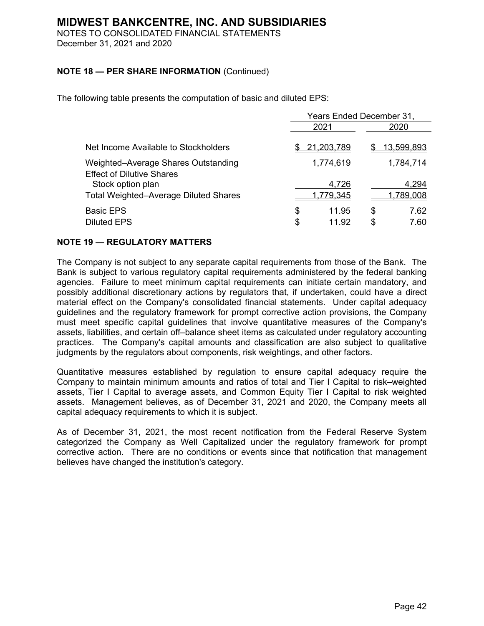NOTES TO CONSOLIDATED FINANCIAL STATEMENTS December 31, 2021 and 2020

# **NOTE 18 — PER SHARE INFORMATION** (Continued)

The following table presents the computation of basic and diluted EPS:

|                                                       | Years Ended December 31, |                  |          |                  |
|-------------------------------------------------------|--------------------------|------------------|----------|------------------|
|                                                       | 2021                     |                  | 2020     |                  |
| Net Income Available to Stockholders                  |                          | 21,203,789       |          | 13,599,893       |
| Weighted-Average Shares Outstanding                   |                          | 1,774,619        |          | 1,784,714        |
| <b>Effect of Dilutive Shares</b><br>Stock option plan |                          | 4,726            |          | 4,294            |
| <b>Total Weighted-Average Diluted Shares</b>          |                          | <u>1,779,345</u> |          | <u>1,789,008</u> |
| <b>Basic EPS</b><br><b>Diluted EPS</b>                | \$<br>\$                 | 11.95<br>11.92   | \$<br>\$ | 7.62<br>7.60     |

### **NOTE 19 — REGULATORY MATTERS**

The Company is not subject to any separate capital requirements from those of the Bank. The Bank is subject to various regulatory capital requirements administered by the federal banking agencies. Failure to meet minimum capital requirements can initiate certain mandatory, and possibly additional discretionary actions by regulators that, if undertaken, could have a direct material effect on the Company's consolidated financial statements. Under capital adequacy guidelines and the regulatory framework for prompt corrective action provisions, the Company must meet specific capital guidelines that involve quantitative measures of the Company's assets, liabilities, and certain off–balance sheet items as calculated under regulatory accounting practices. The Company's capital amounts and classification are also subject to qualitative judgments by the regulators about components, risk weightings, and other factors.

Quantitative measures established by regulation to ensure capital adequacy require the Company to maintain minimum amounts and ratios of total and Tier I Capital to risk–weighted assets, Tier I Capital to average assets, and Common Equity Tier I Capital to risk weighted assets. Management believes, as of December 31, 2021 and 2020, the Company meets all capital adequacy requirements to which it is subject.

As of December 31, 2021, the most recent notification from the Federal Reserve System categorized the Company as Well Capitalized under the regulatory framework for prompt corrective action. There are no conditions or events since that notification that management believes have changed the institution's category.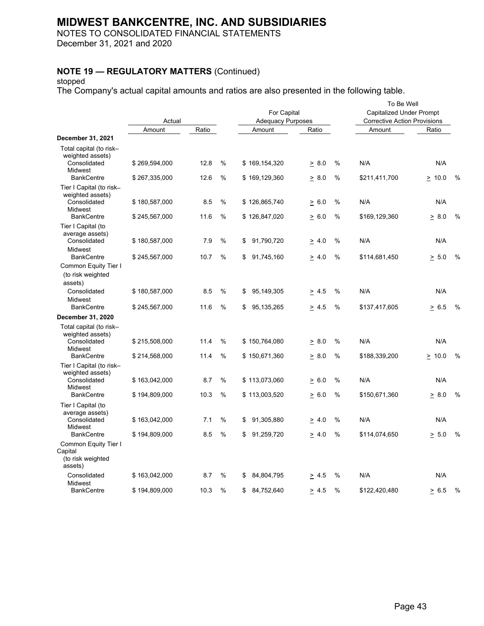NOTES TO CONSOLIDATED FINANCIAL STATEMENTS December 31, 2021 and 2020

# **NOTE 19 — REGULATORY MATTERS** (Continued)

stopped

The Company's actual capital amounts and ratios are also presented in the following table.

|                                                                        | Actual        |       |      | For Capital<br><b>Adequacy Purposes</b> |            | To Be Well<br><b>Capitalized Under Prompt</b><br><b>Corrective Action Provisions</b> |               |             |               |
|------------------------------------------------------------------------|---------------|-------|------|-----------------------------------------|------------|--------------------------------------------------------------------------------------|---------------|-------------|---------------|
|                                                                        | Amount        | Ratio |      | Amount                                  | Ratio      |                                                                                      | Amount        | Ratio       |               |
| December 31, 2021                                                      |               |       |      |                                         |            |                                                                                      |               |             |               |
| Total capital (to risk-<br>weighted assets)<br>Consolidated            | \$269,594,000 | 12.8  | %    | \$169,154,320                           | $\geq 8.0$ | %                                                                                    | N/A           | N/A         |               |
| Midwest<br><b>BankCentre</b>                                           | \$267,335,000 | 12.6  | %    | \$169,129,360                           | > 8.0      | %                                                                                    | \$211,411,700 | $\geq 10.0$ | $\%$          |
| Tier I Capital (to risk-<br>weighted assets)                           |               |       |      |                                         |            |                                                                                      |               |             |               |
| Consolidated<br>Midwest                                                | \$180,587,000 | 8.5   | %    | \$126,865,740                           | > 6.0      | %                                                                                    | N/A           | N/A         |               |
| <b>BankCentre</b>                                                      | \$245,567,000 | 11.6  | %    | \$126,847,020                           | > 6.0      | %                                                                                    | \$169,129,360 | $\geq 8.0$  | %             |
| Tier I Capital (to<br>average assets)<br>Consolidated                  | \$180,587,000 | 7.9   | %    | 91,790,720<br>\$                        | $\geq 4.0$ | %                                                                                    | N/A           | N/A         |               |
| Midwest<br><b>BankCentre</b>                                           | \$245,567,000 | 10.7  | %    | \$<br>91,745,160                        | > 4.0      | %                                                                                    | \$114,681,450 | > 5.0       | $\%$          |
| Common Equity Tier I<br>(to risk weighted<br>assets)                   |               |       |      |                                         |            |                                                                                      |               |             |               |
| Consolidated<br>Midwest                                                | \$180,587,000 | 8.5   | $\%$ | 95,149,305<br>\$                        | $\geq 4.5$ | %                                                                                    | N/A           | N/A         |               |
| <b>BankCentre</b>                                                      | \$245,567,000 | 11.6  | %    | 95,135,265<br>\$                        | > 4.5      | %                                                                                    | \$137,417,605 | > 6.5       | %             |
| December 31, 2020                                                      |               |       |      |                                         |            |                                                                                      |               |             |               |
| Total capital (to risk-<br>weighted assets)<br>Consolidated<br>Midwest | \$215,508,000 | 11.4  | $\%$ | \$150,764,080                           | $\geq 8.0$ | %                                                                                    | N/A           | N/A         |               |
| <b>BankCentre</b>                                                      | \$214,568,000 | 11.4  | %    | \$150,671,360                           | $\geq 8.0$ | %                                                                                    | \$188,339,200 | $\geq 10.0$ | %             |
| Tier I Capital (to risk-<br>weighted assets)                           |               |       |      |                                         |            |                                                                                      |               |             |               |
| Consolidated<br>Midwest                                                | \$163,042,000 | 8.7   | $\%$ | \$113,073,060                           | $\geq 6.0$ | %                                                                                    | N/A           | N/A         |               |
| <b>BankCentre</b>                                                      | \$194,809,000 | 10.3  | %    | \$113,003,520                           | $\geq 6.0$ | %                                                                                    | \$150,671,360 | $\geq 8.0$  | $\frac{0}{0}$ |
| Tier I Capital (to<br>average assets)<br>Consolidated                  | \$163,042,000 | 7.1   | %    | 91,305,880<br>\$                        | $\geq 4.0$ | %                                                                                    | N/A           | N/A         |               |
| Midwest                                                                |               |       |      |                                         |            |                                                                                      |               |             |               |
| <b>BankCentre</b>                                                      | \$194,809,000 | 8.5   | $\%$ | \$<br>91,259,720                        | > 4.0      | %                                                                                    | \$114,074,650 | $\geq 5.0$  | $\%$          |
| Common Equity Tier I<br>Capital<br>(to risk weighted<br>assets)        |               |       |      |                                         |            |                                                                                      |               |             |               |
| Consolidated<br>Midwest                                                | \$163,042,000 | 8.7   | $\%$ | 84,804,795<br>S                         | > 4.5      | %                                                                                    | N/A           | N/A         |               |
| <b>BankCentre</b>                                                      | \$194,809,000 | 10.3  | %    | \$<br>84,752,640                        | $\geq 4.5$ | %                                                                                    | \$122,420,480 | $\geq 6.5$  | %             |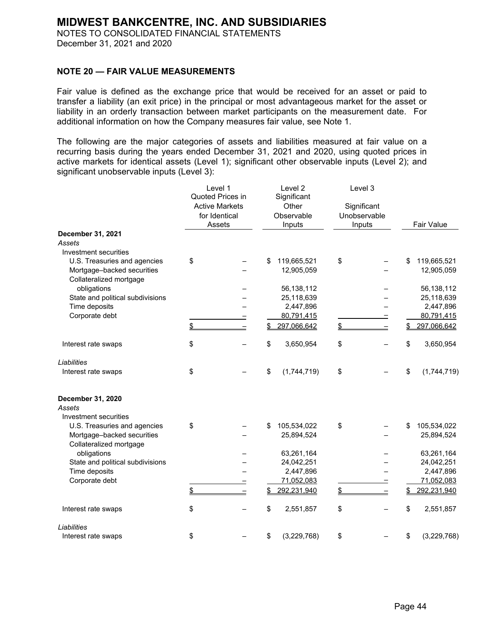NOTES TO CONSOLIDATED FINANCIAL STATEMENTS December 31, 2021 and 2020

### **NOTE 20 — FAIR VALUE MEASUREMENTS**

Fair value is defined as the exchange price that would be received for an asset or paid to transfer a liability (an exit price) in the principal or most advantageous market for the asset or liability in an orderly transaction between market participants on the measurement date. For additional information on how the Company measures fair value, see Note 1.

The following are the major categories of assets and liabilities measured at fair value on a recurring basis during the years ended December 31, 2021 and 2020, using quoted prices in active markets for identical assets (Level 1); significant other observable inputs (Level 2); and significant unobservable inputs (Level 3):

|                                  | Level 1<br>Quoted Prices in<br><b>Active Markets</b><br>for Identical<br>Assets | Level 2<br>Significant<br>Other<br>Observable<br>Inputs | Level 3<br>Significant<br>Unobservable<br>Inputs | Fair Value        |
|----------------------------------|---------------------------------------------------------------------------------|---------------------------------------------------------|--------------------------------------------------|-------------------|
| December 31, 2021<br>Assets      |                                                                                 |                                                         |                                                  |                   |
| Investment securities            |                                                                                 |                                                         |                                                  |                   |
| U.S. Treasuries and agencies     | \$                                                                              | \$<br>119,665,521                                       | \$                                               | \$<br>119,665,521 |
| Mortgage-backed securities       |                                                                                 | 12,905,059                                              |                                                  | 12,905,059        |
| Collateralized mortgage          |                                                                                 |                                                         |                                                  |                   |
| obligations                      |                                                                                 | 56,138,112                                              |                                                  | 56,138,112        |
| State and political subdivisions |                                                                                 | 25,118,639                                              |                                                  | 25,118,639        |
| Time deposits                    |                                                                                 | 2,447,896                                               |                                                  | 2,447,896         |
| Corporate debt                   |                                                                                 | 80,791,415                                              |                                                  | 80,791,415        |
|                                  | \$                                                                              | 297,066,642                                             | \$                                               | 297,066,642       |
|                                  |                                                                                 |                                                         |                                                  |                   |
| Interest rate swaps              | \$                                                                              | \$<br>3,650,954                                         | \$                                               | \$<br>3,650,954   |
| Liabilities                      |                                                                                 |                                                         |                                                  |                   |
| Interest rate swaps              | \$                                                                              | \$<br>(1,744,719)                                       | \$                                               | \$<br>(1,744,719) |
| December 31, 2020<br>Assets      |                                                                                 |                                                         |                                                  |                   |
| Investment securities            |                                                                                 |                                                         |                                                  |                   |
| U.S. Treasuries and agencies     | \$                                                                              | \$<br>105,534,022                                       | \$                                               | \$<br>105,534,022 |
| Mortgage-backed securities       |                                                                                 | 25,894,524                                              |                                                  | 25,894,524        |
| Collateralized mortgage          |                                                                                 |                                                         |                                                  |                   |
| obligations                      |                                                                                 | 63,261,164                                              |                                                  | 63,261,164        |
| State and political subdivisions |                                                                                 | 24,042,251                                              |                                                  | 24,042,251        |
| Time deposits                    |                                                                                 | 2,447,896                                               |                                                  | 2,447,896         |
| Corporate debt                   |                                                                                 | 71,052,083                                              |                                                  | 71,052,083        |
|                                  | \$                                                                              | 292, 231, 940                                           | \$                                               | 292,231,940       |
| Interest rate swaps              | \$                                                                              | \$<br>2,551,857                                         | \$                                               | \$<br>2,551,857   |
| Liabilities                      |                                                                                 |                                                         |                                                  |                   |
| Interest rate swaps              | \$                                                                              | \$<br>(3,229,768)                                       | \$                                               | \$<br>(3,229,768) |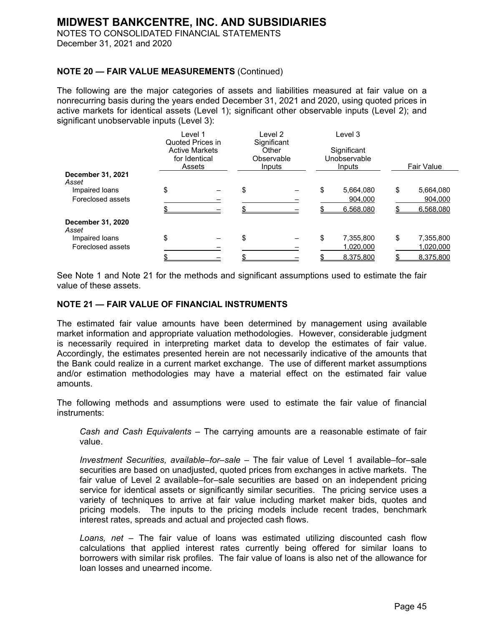NOTES TO CONSOLIDATED FINANCIAL STATEMENTS December 31, 2021 and 2020

## **NOTE 20 — FAIR VALUE MEASUREMENTS** (Continued)

The following are the major categories of assets and liabilities measured at fair value on a nonrecurring basis during the years ended December 31, 2021 and 2020, using quoted prices in active markets for identical assets (Level 1); significant other observable inputs (Level 2); and significant unobservable inputs (Level 3):

|                            | Level 1<br>Quoted Prices in<br><b>Active Markets</b><br>for Identical<br>Assets | Level 2<br>Significant<br>Other<br>Observable<br>Inputs |  | Level 3<br>Significant<br>Unobservable<br>Inputs |           | <b>Fair Value</b> |           |
|----------------------------|---------------------------------------------------------------------------------|---------------------------------------------------------|--|--------------------------------------------------|-----------|-------------------|-----------|
| December 31, 2021<br>Asset |                                                                                 |                                                         |  |                                                  |           |                   |           |
| Impaired loans             | \$                                                                              | \$                                                      |  | \$                                               | 5,664,080 | \$                | 5,664,080 |
| Foreclosed assets          |                                                                                 |                                                         |  |                                                  | 904.000   |                   | 904.000   |
|                            |                                                                                 |                                                         |  |                                                  | 6.568.080 |                   | 6.568.080 |
| December 31, 2020<br>Asset |                                                                                 |                                                         |  |                                                  |           |                   |           |
| Impaired loans             | \$                                                                              | \$                                                      |  | \$                                               | 7,355,800 | \$                | 7,355,800 |
| Foreclosed assets          |                                                                                 |                                                         |  |                                                  | 1,020,000 |                   | 1,020,000 |
|                            |                                                                                 |                                                         |  |                                                  | 8,375,800 |                   | 8,375,800 |

See Note 1 and Note 21 for the methods and significant assumptions used to estimate the fair value of these assets.

### **NOTE 21 — FAIR VALUE OF FINANCIAL INSTRUMENTS**

The estimated fair value amounts have been determined by management using available market information and appropriate valuation methodologies. However, considerable judgment is necessarily required in interpreting market data to develop the estimates of fair value. Accordingly, the estimates presented herein are not necessarily indicative of the amounts that the Bank could realize in a current market exchange. The use of different market assumptions and/or estimation methodologies may have a material effect on the estimated fair value amounts.

The following methods and assumptions were used to estimate the fair value of financial instruments:

*Cash and Cash Equivalents* – The carrying amounts are a reasonable estimate of fair value.

*Investment Securities, available–for–sale* – The fair value of Level 1 available–for–sale securities are based on unadjusted, quoted prices from exchanges in active markets. The fair value of Level 2 available–for–sale securities are based on an independent pricing service for identical assets or significantly similar securities. The pricing service uses a variety of techniques to arrive at fair value including market maker bids, quotes and pricing models. The inputs to the pricing models include recent trades, benchmark interest rates, spreads and actual and projected cash flows.

*Loans, net* – The fair value of loans was estimated utilizing discounted cash flow calculations that applied interest rates currently being offered for similar loans to borrowers with similar risk profiles. The fair value of loans is also net of the allowance for loan losses and unearned income.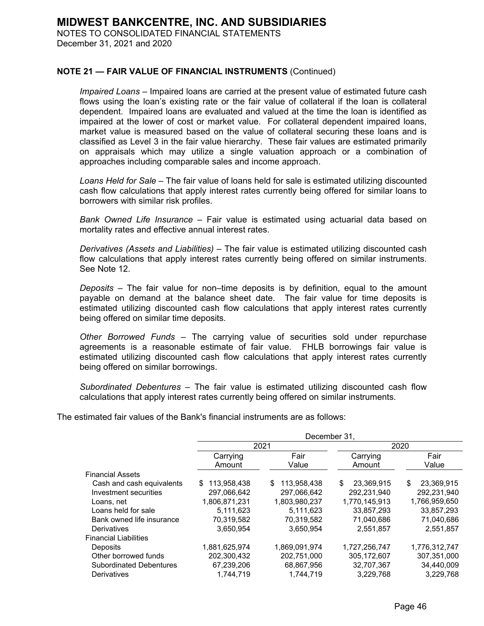NOTES TO CONSOLIDATED FINANCIAL STATEMENTS December 31, 2021 and 2020

### **NOTE 21 — FAIR VALUE OF FINANCIAL INSTRUMENTS** (Continued)

*Impaired Loans* – Impaired loans are carried at the present value of estimated future cash flows using the loan's existing rate or the fair value of collateral if the loan is collateral dependent. Impaired loans are evaluated and valued at the time the loan is identified as impaired at the lower of cost or market value. For collateral dependent impaired loans, market value is measured based on the value of collateral securing these loans and is classified as Level 3 in the fair value hierarchy. These fair values are estimated primarily on appraisals which may utilize a single valuation approach or a combination of approaches including comparable sales and income approach.

*Loans Held for Sale* – The fair value of loans held for sale is estimated utilizing discounted cash flow calculations that apply interest rates currently being offered for similar loans to borrowers with similar risk profiles.

*Bank Owned Life Insurance* – Fair value is estimated using actuarial data based on mortality rates and effective annual interest rates.

*Derivatives (Assets and Liabilities)* – The fair value is estimated utilizing discounted cash flow calculations that apply interest rates currently being offered on similar instruments. See Note 12.

*Deposits* – The fair value for non–time deposits is by definition, equal to the amount payable on demand at the balance sheet date. The fair value for time deposits is estimated utilizing discounted cash flow calculations that apply interest rates currently being offered on similar time deposits.

*Other Borrowed Funds* – The carrying value of securities sold under repurchase agreements is a reasonable estimate of fair value. FHLB borrowings fair value is estimated utilizing discounted cash flow calculations that apply interest rates currently being offered on similar borrowings.

*Subordinated Debentures* – The fair value is estimated utilizing discounted cash flow calculations that apply interest rates currently being offered on similar instruments.

The estimated fair values of the Bank's financial instruments are as follows:

|                                | December 31.       |                    |                    |                  |  |  |  |
|--------------------------------|--------------------|--------------------|--------------------|------------------|--|--|--|
|                                |                    | 2021               |                    | 2020             |  |  |  |
|                                | Carrying<br>Amount | Fair<br>Value      | Carrying<br>Amount | Fair<br>Value    |  |  |  |
| <b>Financial Assets</b>        |                    |                    |                    |                  |  |  |  |
| Cash and cash equivalents      | 113,958,438<br>\$. | 113.958.438<br>\$. | 23,369,915<br>\$   | 23.369.915<br>\$ |  |  |  |
| Investment securities          | 297,066,642        | 297,066,642        | 292.231.940        | 292,231,940      |  |  |  |
| Loans, net                     | 1.806.871.231      | 1.803.980.237      | 1.770.145.913      | 1,766,959,650    |  |  |  |
| Loans held for sale            | 5,111,623          | 5,111,623          | 33.857.293         | 33,857,293       |  |  |  |
| Bank owned life insurance      | 70,319,582         | 70,319,582         | 71,040,686         | 71,040,686       |  |  |  |
| Derivatives                    | 3.650.954          | 3,650,954          | 2.551.857          | 2.551.857        |  |  |  |
| <b>Financial Liabilities</b>   |                    |                    |                    |                  |  |  |  |
| Deposits                       | 1,881,625,974      | 1,869,091,974      | 1.727.256.747      | 1.776.312.747    |  |  |  |
| Other borrowed funds           | 202,300,432        | 202,751,000        | 305, 172, 607      | 307,351,000      |  |  |  |
| <b>Subordinated Debentures</b> | 67,239,206         | 68,867,956         | 32,707,367         | 34,440,009       |  |  |  |
| Derivatives                    | 1.744.719          | 1.744.719          | 3.229.768          | 3,229,768        |  |  |  |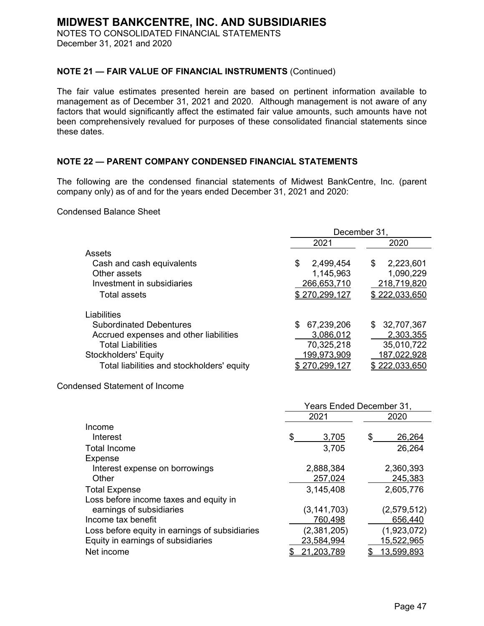NOTES TO CONSOLIDATED FINANCIAL STATEMENTS December 31, 2021 and 2020

### **NOTE 21 — FAIR VALUE OF FINANCIAL INSTRUMENTS** (Continued)

The fair value estimates presented herein are based on pertinent information available to management as of December 31, 2021 and 2020. Although management is not aware of any factors that would significantly affect the estimated fair value amounts, such amounts have not been comprehensively revalued for purposes of these consolidated financial statements since these dates.

#### **NOTE 22 — PARENT COMPANY CONDENSED FINANCIAL STATEMENTS**

The following are the condensed financial statements of Midwest BankCentre, Inc. (parent company only) as of and for the years ended December 31, 2021 and 2020:

#### Condensed Balance Sheet

|                                            | December 31.      |                   |  |  |
|--------------------------------------------|-------------------|-------------------|--|--|
|                                            | 2021              | 2020              |  |  |
| Assets                                     |                   |                   |  |  |
| Cash and cash equivalents                  | 2,499,454<br>\$   | \$<br>2,223,601   |  |  |
| Other assets                               | 1,145,963         | 1,090,229         |  |  |
| Investment in subsidiaries                 | 266,653,710       | 218,719,820       |  |  |
| <b>Total assets</b>                        | \$270,299,127     | \$222,033,650     |  |  |
| Liabilities                                |                   |                   |  |  |
| <b>Subordinated Debentures</b>             | 67,239,206<br>\$. | 32,707,367<br>\$. |  |  |
| Accrued expenses and other liabilities     | 3,086,012         | 2,303,355         |  |  |
| <b>Total Liabilities</b>                   | 70,325,218        | 35,010,722        |  |  |
| <b>Stockholders' Equity</b>                | 199,973,909       | 187,022,928       |  |  |
| Total liabilities and stockholders' equity | 70.299,127        | \$222,033,650     |  |  |

#### Condensed Statement of Income

|                                                | Years Ended December 31, |               |  |  |  |
|------------------------------------------------|--------------------------|---------------|--|--|--|
|                                                | 2021                     | 2020          |  |  |  |
| Income                                         |                          |               |  |  |  |
| Interest                                       | 3,705                    | 26,264<br>\$. |  |  |  |
| <b>Total Income</b>                            | 3,705                    | 26,264        |  |  |  |
| <b>Expense</b>                                 |                          |               |  |  |  |
| Interest expense on borrowings                 | 2,888,384                | 2,360,393     |  |  |  |
| Other                                          | 257,024                  | 245,383       |  |  |  |
| <b>Total Expense</b>                           | 3,145,408                | 2,605,776     |  |  |  |
| Loss before income taxes and equity in         |                          |               |  |  |  |
| earnings of subsidiaries                       | (3, 141, 703)            | (2,579,512)   |  |  |  |
| Income tax benefit                             | 760,498                  | 656,440       |  |  |  |
| Loss before equity in earnings of subsidiaries | (2,381,205)              | (1,923,072)   |  |  |  |
| Equity in earnings of subsidiaries             | 23,584,994               | 15,522,965    |  |  |  |
| Net income                                     | 21,203,789               | 13,599,893    |  |  |  |